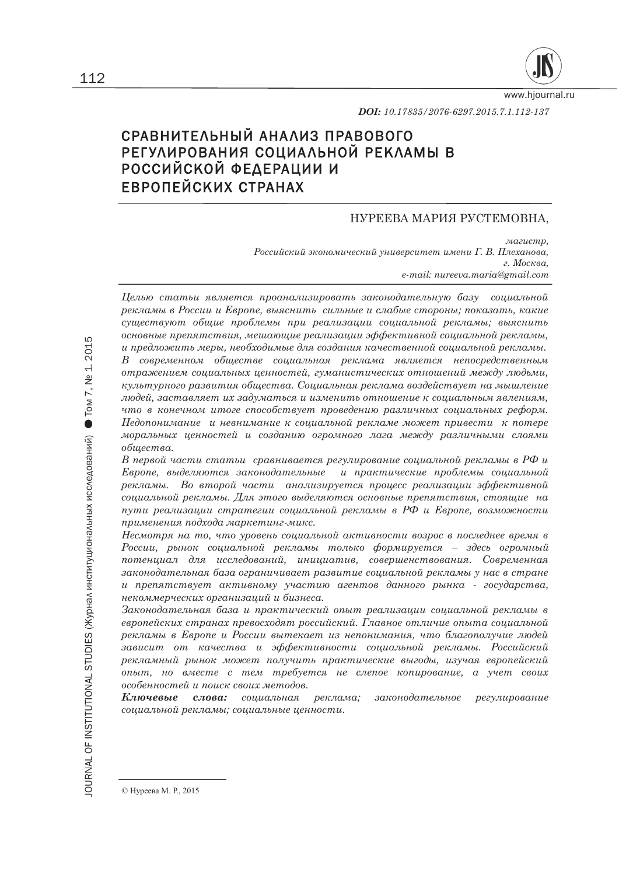

www.hjournal.ru

*DOI: 10.17835/2076-6297.2015.7.1.112-137*

# СРАВНИТЕЛЬНЫЙ АНАЛИЗ ПРАВОВОГО РЕГУЛИРОВАНИЯ СОЦИАЛЬНОЙ РЕКЛАМЫ В РОССИЙСКОЙ ФЕДЕРАЦИИ И ЕВРОПЕЙСКИХ СТРАНАХ

## НУРЕЕВА МАРИЯ РУСТЕМОВНА,

*магистр, Российский экономический университет имени Г. В. Плеханова, г. Москва, e-mail: nureeva.maria@gmail.com*

*Целью статьи является проанализировать законодательную базу социальной рекламы в России и Европе, выяснить сильные и слабые стороны; показать, какие существуют общие проблемы при реализации социальной рекламы; выяснить основные препятствия, мешающие реализации эффективной социальной рекламы, и предложить меры, необходимые для создания качественной социальной рекламы. В современном обществе социальная реклама является непосредственным отражением социальных ценностей, гуманистических отношений между людьми, культурного развития общества. Социальная реклама воздействует на мышление людей, заставляет их задуматься и изменить отношение к социальным явлениям, что в конечном итоге способствует проведению различных социальных реформ. Недопонимание и невнимание к социальной рекламе может привести к потере моральных ценностей и созданию огромного лага между различными слоями общества.*

*В первой части статьи сравнивается регулирование социальной рекламы в РФ и Европе, выделяются законодательные и практические проблемы социальной рекламы. Во второй части анализируется процесс реализации эффективной социальной рекламы. Для этого выделяются основные препятствия, стоящие на пути реализации стратегии социальной рекламы в РФ и Европе, возможности применения подхода маркетинг-микс.*

*Несмотря на то, что уровень социальной активности возрос в последнее время в России, рынок социальной рекламы только формируется – здесь огромный потенциал для исследований, инициатив, совершенствования. Современная законодательная база ограничивает развитие социальной рекламы у нас в стране и препятствует активному участию агентов данного рынка - государства, некоммерческих организаций и бизнеса.*

*Законодательная база и практический опыт реализации социальной рекламы в европейских странах превосходят российский. Главное отличие опыта социальной рекламы в Европе и России вытекает из непонимания, что благополучие людей зависит от качества и эффективности социальной рекламы. Российский рекламный рынок может получить практические выгоды, изучая европейский опыт, но вместе с тем требуется не слепое копирование, а учет своих особенностей и поиск своих методов.*

*Ключевые слова: социальная реклама; законодательное регулирование социальной рекламы; социальные ценности.*

© Нуреева М. Р., 2015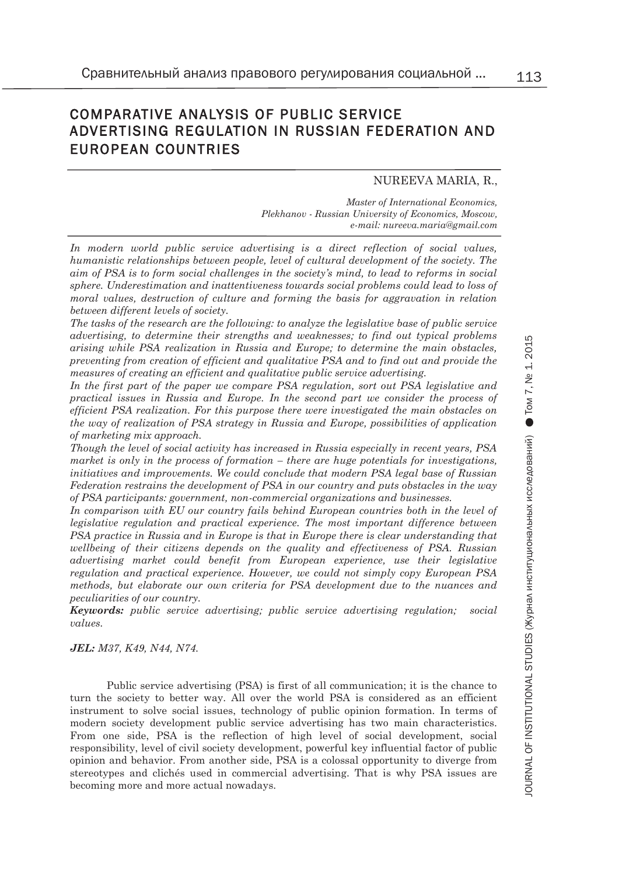## COMPARATIVE ANALYSIS OF PUBLIC SERVICE ADVERTISING REGULATION IN RUSSIAN FEDERATION AND EUROPEAN COUNTRIES

### NUREEVA MARIA, R.,

*Master of International Economics, Plekhanov - Russian University of Economics, Moscow, e-mail: nureeva.maria@gmail.com*

In modern world public service advertising is a direct reflection of social values, *humanistic relationships between people, level of cultural development of the society. The aim of PSA is to form social challenges in the society's mind, to lead to reforms in social sphere. Underestimation and inattentiveness towards social problems could lead to loss of moral values, destruction of culture and forming the basis for aggravation in relation between different levels of society.*

*The tasks of the research are the following: to analyze the legislative base of public service advertising, to determine their strengths and weaknesses; to find out typical problems arising while PSA realization in Russia and Europe; to determine the main obstacles, preventing from creation of efficient and qualitative PSA and to find out and provide the measures of creating an efficient and qualitative public service advertising.* 

In the first part of the paper we compare PSA regulation, sort out PSA legislative and *practical issues in Russia and Europe. In the second part we consider the process of efficient PSA realization. For this purpose there were investigated the main obstacles on the way of realization of PSA strategy in Russia and Europe, possibilities of application of marketing mix approach.*

*Though the level of social activity has increased in Russia especially in recent years, PSA market is only in the process of formation – there are huge potentials for investigations, initiatives and improvements. We could conclude that modern PSA legal base of Russian Federation restrains the development of PSA in our country and puts obstacles in the way of PSA participants: government, non-commercial organizations and businesses.*

In comparison with EU our country fails behind European countries both in the level of *legislative regulation and practical experience. The most important difference between PSA practice in Russia and in Europe is that in Europe there is clear understanding that wellbeing of their citizens depends on the quality and effectiveness of PSA. Russian advertising market could benefit from European experience, use their legislative regulation and practical experience. However, we could not simply copy European PSA methods, but elaborate our own criteria for PSA development due to the nuances and peculiarities of our country.* 

*Keywords: public service advertising; public service advertising regulation; social values.*

*JEL: M37, K49, N44, N74.*

Public service advertising (PSA) is first of all communication; it is the chance to turn the society to better way. All over the world PSA is considered as an efficient instrument to solve social issues, technology of public opinion formation. In terms of modern society development public service advertising has two main characteristics. From one side, PSA is the reflection of high level of social development, social responsibility, level of civil society development, powerful key influential factor of public opinion and behavior. From another side, PSA is a colossal opportunity to diverge from stereotypes and [clichés](http://lingvo.yandex.ru/clich%C3%A9/%D1%81%20%D0%B0%D0%BD%D0%B3%D0%BB%D0%B8%D0%B9%D1%81%D0%BA%D0%BE%D0%B3%D0%BE/LingvoUniversal/) used in commercial advertising. That is why PSA issues are becoming more and more actual nowadays.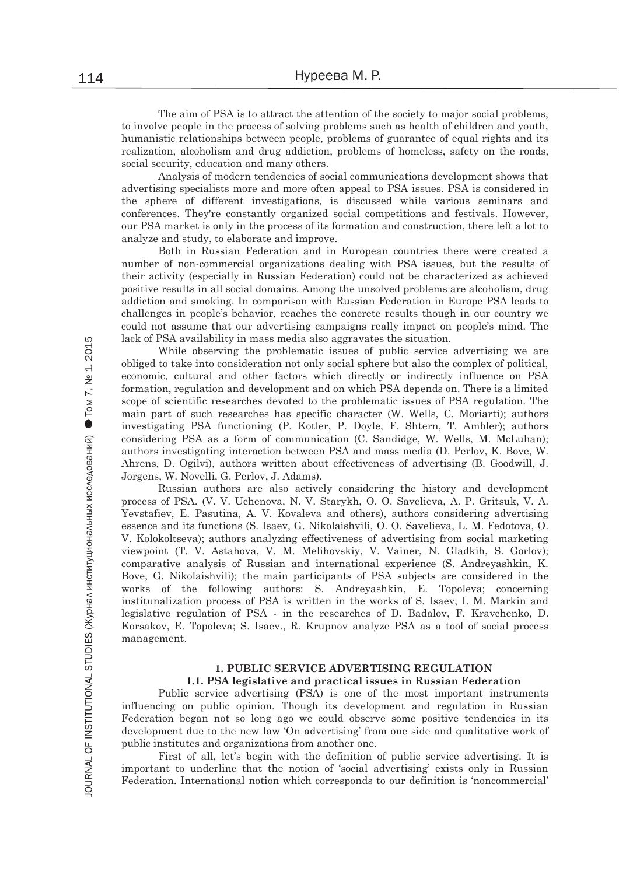The aim of PSA is to attract the attention of the society to major social problems, to involve people in the process of solving problems such as health of children and youth, humanistic relationships between people, problems of guarantee of equal rights and its realization, alcoholism and drug addiction, problems of homeless, safety on the roads, social security, education and many others.

Analysis of modern tendencies of social communications development shows that advertising specialists more and more often appeal to PSA issues. PSA is considered in the sphere of different investigations, is discussed while various seminars and conferences. They're constantly organized social competitions and festivals. However, our PSA market is only in the process of its formation and construction, there left a lot to analyze and study, to elaborate and improve.

Both in Russian Federation and in European countries there were created a number of non-commercial organizations dealing with PSA issues, but the results of their activity (especially in Russian Federation) could not be characterized as achieved positive results in all social domains. Among the unsolved problems are alcoholism, drug addiction and smoking. In comparison with Russian Federation in Europe PSA leads to challenges in people's behavior, reaches the concrete results though in our country we could not assume that our advertising campaigns really impact on people's mind. The lack of PSA availability in mass media also aggravates the situation.

While observing the problematic issues of public service advertising we are obliged to take into consideration not only social sphere but also the complex of political, economic, cultural and other factors which directly or indirectly influence on PSA formation, regulation and development and on which PSA depends on. There is a limited scope of scientific researches devoted to the problematic issues of PSA regulation. The main part of such researches has specific character (W. Wells, C. Moriarti); authors investigating PSA functioning (P. Kotler, P. Doyle, F. Shtern, T. Ambler); authors considering PSA as a form of communication (C. Sandidge, W. Wells, M. McLuhan); authors investigating interaction between PSA and mass media (D. Perlov, K. Bove, W. Ahrens, D. Ogilvi), authors written about effectiveness of advertising (B. Goodwill, J. Jorgens, W. Novelli, G. Perlov, J. Adams).

Russian authors are also actively considering the history and development process of PSA. (V. V. Uchenova, N. V. Starykh, O. O. Savelieva, A. P. Gritsuk, V. A. Yevstafiev, E. Pasutina, A. V. Kovaleva and others), authors considering advertising essence and its functions (S. Isaev, G. Nikolaishvili, O. O. Savelieva, L. M. Fedotova, O. V. Kolokoltseva); authors analyzing effectiveness of advertising from social marketing viewpoint (T. V. Astahova, V. M. Melihovskiy, V. Vainer, N. Gladkih, S. Gorlov); comparative analysis of Russian and international experience (S. Andreyashkin, K. Bove, G. Nikolaishvili); the main participants of PSA subjects are considered in the works of the following authors: S. Andreyashkin, E. Topoleva; concerning institunalization process of PSA is written in the works of S. Isaev, I. M. Markin and legislative regulation of PSA - in the researches of D. Badalov, F. Kravchenko, D. Korsakov, E. Topoleva; S. Isaev., R. Krupnov analyze PSA as a tool of social process management.

#### **1. PUBLIC SERVICE ADVERTISING REGULATION 1.1. PSA legislative and practical issues in Russian Federation**

Public service advertising (PSA) is one of the most important instruments influencing on public opinion. Though its development and regulation in Russian Federation began not so long ago we could observe some positive tendencies in its development due to the new law 'On advertising' from one side and qualitative work of

public institutes and organizations from another one. First of all, let's begin with the definition of public service advertising. It is important to underline that the notion of 'social advertising' exists only in Russian Federation. International notion which corresponds to our definition is 'noncommercial'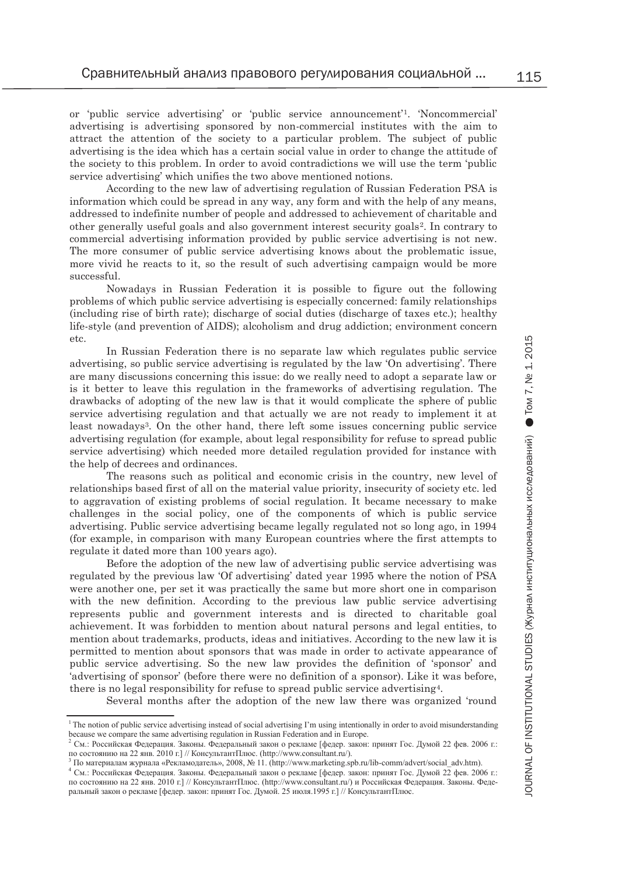or 'public service advertising' or 'public service announcement'1. 'Noncommercial' advertising is advertising sponsored by non-commercial institutes with the aim to attract the attention of the society to a particular problem. The subject of public advertising is the idea which has a certain social value in order to change the attitude of the society to this problem. In order to avoid contradictions we will use the term 'public service advertising' which unifies the two above mentioned notions.

According to the new law of advertising regulation of Russian Federation PSA is information which could be spread in any way, any form and with the help of any means, addressed to indefinite number of people and addressed to achievement of charitable and other generally useful goals and also government interest security goals2. In contrary to commercial advertising information provided by public service advertising is not new. The more consumer of public service advertising knows about the problematic issue, more vivid he reacts to it, so the result of such advertising campaign would be more successful.

Nowadays in Russian Federation it is possible to figure out the following problems of which public service advertising is especially concerned: family relationships (including rise of birth rate); discharge of social duties (discharge of taxes etc.); healthy life-style (and prevention of AIDS); alcoholism and drug addiction; environment concern etc.

In Russian Federation there is no separate law which regulates public service advertising, so public service advertising is regulated by the law 'On advertising'. There are many discussions concerning this issue: do we really need to adopt a separate law or is it better to leave this regulation in the frameworks of advertising regulation. The drawbacks of adopting of the new law is that it would complicate the sphere of public service advertising regulation and that actually we are not ready to implement it at least nowadays3. On the other hand, there left some issues concerning public service advertising regulation (for example, about legal responsibility for refuse to spread public service advertising) which needed more detailed regulation provided for instance with the help of decrees and ordinances.

The reasons such as political and economic crisis in the country, new level of relationships based first of all on the material value priority, insecurity of society etc. led to aggravation of existing problems of social regulation. It became necessary to make challenges in the social policy, one of the components of which is public service advertising. Public service advertising became legally regulated not so long ago, in 1994 (for example, in comparison with many European countries where the first attempts to regulate it dated more than 100 years ago).

Before the adoption of the new law of advertising public service advertising was regulated by the previous law 'Of advertising' dated year 1995 where the notion of PSA were another one, per set it was practically the same but more short one in comparison with the new definition. According to the previous law public service advertising represents public and government interests and is directed to charitable goal achievement. It was forbidden to mention about natural persons and legal entities, to mention about trademarks, products, ideas and initiatives. According to the new law it is permitted to mention about sponsors that was made in order to activate appearance of public service advertising. So the new law provides the definition of 'sponsor' and 'advertising of sponsor' (before there were no definition of a sponsor). Like it was before, there is no legal responsibility for refuse to spread public service advertising4.

Several months after the adoption of the new law there was organized 'round

<sup>&</sup>lt;sup>1</sup>The notion of public service advertising instead of social advertising I'm using intentionally in order to avoid misunderstanding because we compare the same advertising regulation in Russian Federation and in Europe.

<sup>&</sup>lt;sup>2</sup> См.: Российская Федерация. Законы. Федеральный закон о рекламе [федер. закон: принят Гос. Думой 22 фев. 2006 г.: по состоянию на 22 янв. 2010 г.] // КонсультантПлюс. (http://www.consultant.ru/).

<sup>3</sup> По материалам журнала «Рекламодатель», 2008, № 11. (http://www.marketing.spb.ru/lib-comm/advert/social\_adv.htm). <sup>4</sup> См.: Российская Федерация. Законы. Федеральный закон о рекламе [федер. закон: принят Гос. Думой 22 фев. 2006 г.: по состоянию на 22 янв. 2010 г.] // КонсультантПлюс. (http://www.consultant.ru/) и Российская Федерация. Законы. Федеральный закон о рекламе [федер. закон: принят Гос. Думой. 25 июля.1995 г.] // КонсультантПлюс.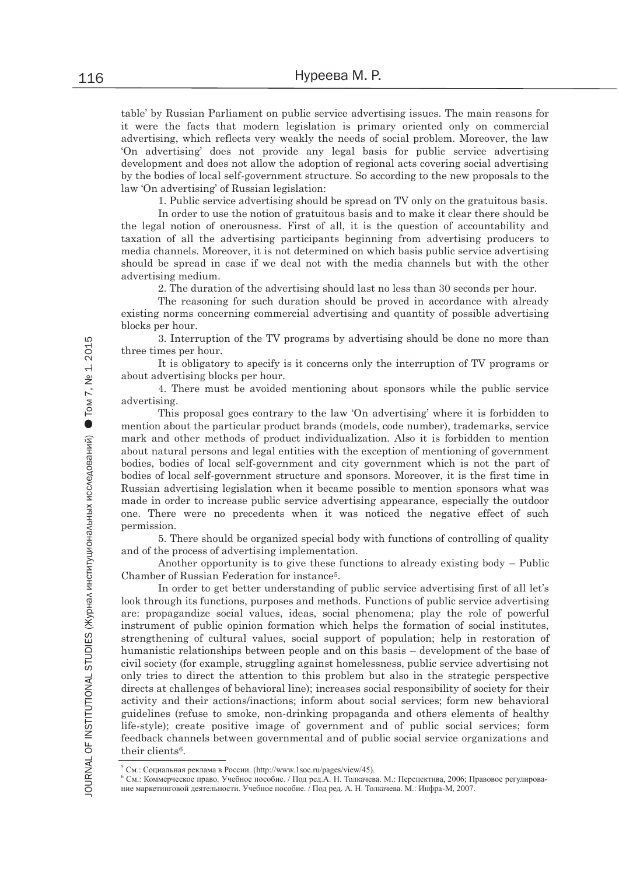table' by Russian Parliament on public service advertising issues. The main reasons for it were the facts that modern legislation is primary oriented only on commercial advertising, which reflects very weakly the needs of social problem. Moreover, the law 'On advertising' does not provide any legal basis for public service advertising development and does not allow the adoption of regional acts covering social advertising by the bodies of local self-government structure. So according to the new proposals to the law 'On advertising' of Russian legislation:

1. Public service advertising should be spread on TV only on the gratuitous basis.

In order to use the notion of gratuitous basis and to make it clear there should be the legal notion of onerousness. First of all, it is the question of accountability and taxation of all the advertising participants beginning from advertising producers to media channels. Moreover, it is not determined on which basis public service advertising should be spread in case if we deal not with the media channels but with the other advertising medium.

2. The duration of the advertising should last no less than 30 seconds per hour.

The reasoning for such duration should be proved in accordance with already existing norms concerning commercial advertising and quantity of possible advertising blocks per hour.

3. Interruption of the TV programs by advertising should be done no more than three times per hour.

It is obligatory to specify is it concerns only the interruption of TV programs or about advertising blocks per hour.

4. There must be avoided mentioning about sponsors while the public service advertising.

This proposal goes contrary to the law 'On advertising' where it is forbidden to mention about the particular product brands (models, code number), trademarks, service mark and other methods of product individualization. Also it is forbidden to mention about natural persons and legal entities with the exception of mentioning of government bodies, bodies of local self-government and city government which is not the part of bodies of local self-government structure and sponsors. Moreover, it is the first time in Russian advertising legislation when it became possible to mention sponsors what was made in order to increase public service advertising appearance, especially the outdoor one. There were no precedents when it was noticed the negative effect of such permission.

5. There should be organized special body with functions of controlling of quality and of the process of advertising implementation.

Another opportunity is to give these functions to already existing body – Public Chamber of Russian Federation for instance5.

In order to get better understanding of public service advertising first of all let's look through its functions, purposes and methods. Functions of public service advertising are: propagandize social values, ideas, social phenomena; play the role of powerful instrument of public opinion formation which helps the formation of social institutes, strengthening of cultural values, social support of population; help in restoration of humanistic relationships between people and on this basis – development of the base of civil society (for example, struggling against homelessness, public service advertising not only tries to direct the attention to this problem but also in the strategic perspective directs at challenges of behavioral line); increases social responsibility of society for their activity and their actions/inactions; inform about social services; form new behavioral guidelines (refuse to smoke, non-drinking propaganda and others elements of healthy life-style); create positive image of government and of public social services; form feedback channels between governmental and of public social service organizations and their clients6.

 $5$  См.: Социальная реклама в России. (http://www.1soc.ru/pages/view/45).

<sup>6</sup> См.: Коммерческое право. Учебное пособие. / Под ред.А. Н. Толкачева. М.: Перспектива, 2006; Правовое регулирование маркетинговой деятельности. Учебное пособие. / Под ред. А. Н. Толкачева. М.: Инфра-М, 2007.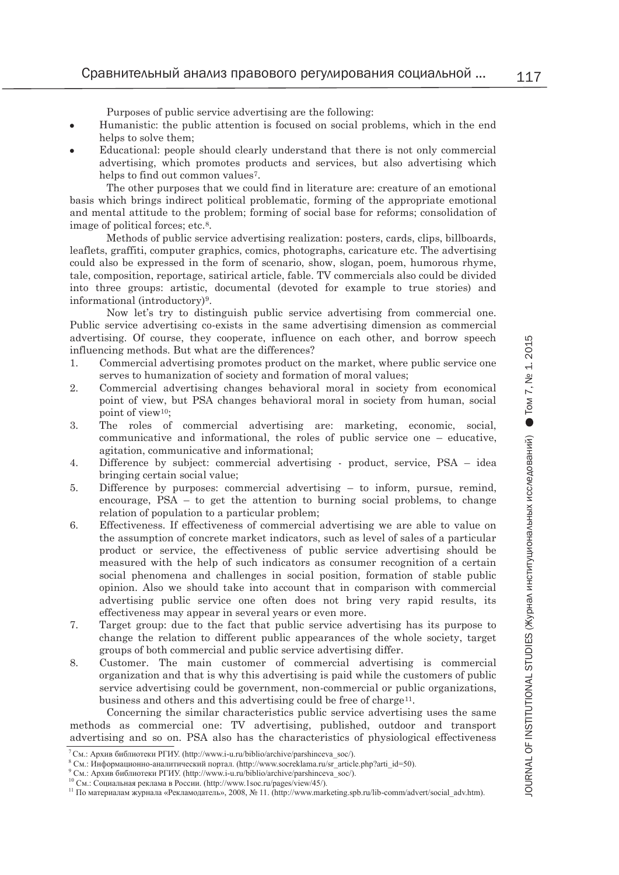Purposes of public service advertising are the following:

- Humanistic: the public attention is focused on social problems, which in the end helps to solve them;
- Educational: people should clearly understand that there is not only commercial advertising, which promotes products and services, but also advertising which helps to find out common values7.

The other purposes that we could find in literature are: creature of an emotional basis which brings indirect political problematic, forming of the appropriate emotional and mental attitude to the problem; forming of social base for reforms; consolidation of image of political forces; etc.8.

Methods of public service advertising realization: posters, cards, clips, billboards, leaflets, graffiti, computer graphics, comics, photographs, caricature etc. The advertising could also be expressed in the form of scenario, show, slogan, poem, humorous rhyme, tale, composition, reportage, satirical article, fable. TV commercials also could be divided into three groups: artistic, documental (devoted for example to true stories) and informational (introductory)9.

Now let's try to distinguish public service advertising from commercial one. Public service advertising co-exists in the same advertising dimension as commercial advertising. Of course, they cooperate, influence on each other, and borrow speech influencing methods. But what are the differences?

- 1. Commercial advertising promotes product on the market, where public service one serves to humanization of society and formation of moral values;
- 2. Commercial advertising changes behavioral moral in society from economical point of view, but PSA changes behavioral moral in society from human, social point of view10;
- 3. The roles of commercial advertising are: marketing, economic, social, communicative and informational, the roles of public service one – educative, agitation, communicative and informational;
- 4. Difference by subject: commercial advertising product, service, PSA idea bringing certain social value;
- 5. Difference by purposes: commercial advertising to inform, pursue, remind, encourage, PSA – to get the attention to burning social problems, to change relation of population to a particular problem;
- 6. Effectiveness. If effectiveness of commercial advertising we are able to value on the assumption of concrete market indicators, such as level of sales of a particular product or service, the effectiveness of public service advertising should be measured with the help of such indicators as consumer recognition of a certain social phenomena and challenges in social position, formation of stable public opinion. Also we should take into account that in comparison with commercial advertising public service one often does not bring very rapid results, its effectiveness may appear in several years or even more.
- 7. Target group: due to the fact that public service advertising has its purpose to change the relation to different public appearances of the whole society, target groups of both commercial and public service advertising differ.
- 8. Customer. The main customer of commercial advertising is commercial organization and that is why this advertising is paid while the customers of public service advertising could be government, non-commercial or public organizations, business and others and this advertising could be free of charge11.

Concerning the similar characteristics public service advertising uses the same methods as commercial one: TV advertising, published, outdoor and transport advertising and so on. PSA also has the characteristics of physiological effectiveness

 $7$ См.: Архив библиотеки РГИУ. (http://www.i-u.ru/biblio/archive/parshinceva\_soc/).

<sup>8</sup> См.: Информационно-аналитический портал. (http://www.socreklama.ru/sr\_article.php?arti\_id=50).

<sup>&</sup>lt;sup>9</sup> См.: Архив библиотеки РГИУ. (http://www.i-u.ru/biblio/archive/parshinceva<sup>-</sup>soc/).

<sup>&</sup>lt;sup>10</sup> См.: Социальная реклама в России. (http://www.1soc.ru/pages/view/45/).

<sup>&</sup>lt;sup>11</sup> По материалам журнала «Рекламодатель», 2008, № 11. (http://www.marketing.spb.ru/lib-comm/advert/social\_adv.htm).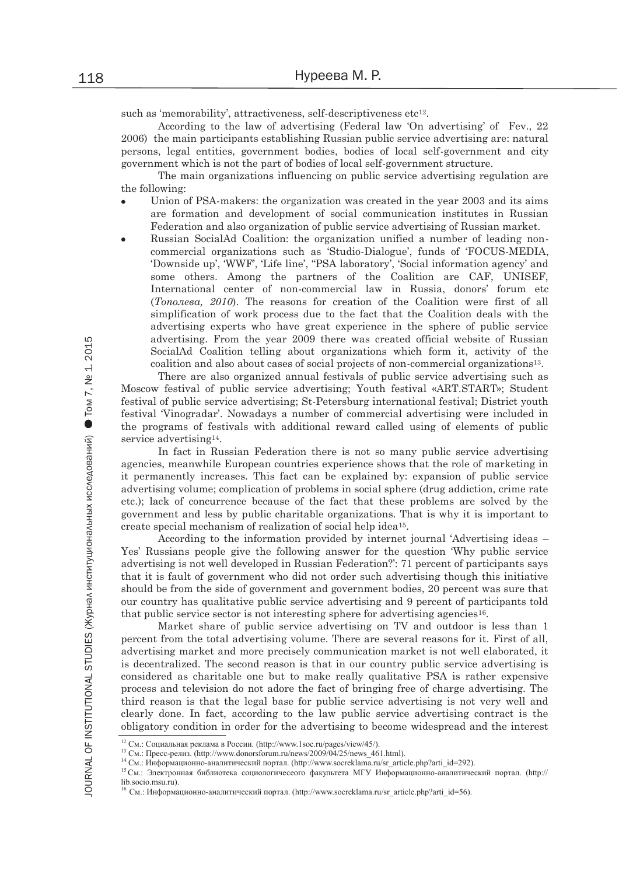such as 'memorability', attractiveness, self-descriptiveness etc<sup>12</sup>.

According to the law of advertising (Federal law 'On advertising' of Fev., 22 2006) the main participants establishing Russian public service advertising are: natural persons, legal entities, government bodies, bodies of local self-government and city government which is not the part of bodies of local self-government structure.

The main organizations influencing on public service advertising regulation are the following:

- Union of PSA-makers: the organization was created in the year 2003 and its aims are formation and development of social communication institutes in Russian Federation and also organization of public service advertising of Russian market.
- Russian SocialAd Coalition: the organization unified a number of leading noncommercial organizations such as 'Studio-Dialogue', funds of 'FOCUS-MEDIA, 'Downside up', 'WWF', 'Life line', "PSA laboratory', 'Social information agency' and some others. Among the partners of the Coalition are CAF, UNISEF, International center of non-commercial law in Russia, donors' forum etc (*Тополева, 2010*). The reasons for creation of the Coalition were first of all simplification of work process due to the fact that the Coalition deals with the advertising experts who have great experience in the sphere of public service advertising. From the year 2009 there was created official website of Russian SocialAd Coalition telling about organizations which form it, activity of the coalition and also about cases of social projects of non-commercial organizations13.

There are also organized annual festivals of public service advertising such as Moscow festival of public service advertising; Youth festival «ART.START»; Student festival of public service advertising; St-Petersburg international festival; District youth festival 'Vinogradar'. Nowadays a number of commercial advertising were included in the programs of festivals with additional reward called using of elements of public service advertising<sup>14</sup>.

In fact in Russian Federation there is not so many public service advertising agencies, meanwhile European countries experience shows that the role of marketing in it permanently increases. This fact can be explained by: expansion of public service advertising volume; complication of problems in social sphere (drug addiction, crime rate etc.); lack of concurrence because of the fact that these problems are solved by the government and less by public charitable organizations. That is why it is important to create special mechanism of realization of social help idea15.

According to the information provided by internet journal 'Advertising ideas – Yes' Russians people give the following answer for the question 'Why public service advertising is not well developed in Russian Federation?': 71 percent of participants says that it is fault of government who did not order such advertising though this initiative should be from the side of government and government bodies, 20 percent was sure that our country has qualitative public service advertising and 9 percent of participants told that public service sector is not interesting sphere for advertising agencies16.

Market share of public service advertising on TV and outdoor is less than 1 percent from the total advertising volume. There are several reasons for it. First of all, advertising market and more precisely communication market is not well elaborated, it is decentralized. The second reason is that in our country public service advertising is considered as charitable one but to make really qualitative PSA is rather expensive process and television do not adore the fact of bringing free of charge advertising. The third reason is that the legal base for public service advertising is not very well and clearly done. In fact, according to the law public service advertising contract is the obligatory condition in order for the advertising to become widespread and the interest

<sup>&</sup>lt;sup>12</sup> См.: Социальная реклама в России. (http://www.1soc.ru/pages/view/45/).

<sup>&</sup>lt;sup>13</sup> См.: Пресс-релиз. (http://www.donorsforum.ru/news/2009/04/25/news\_461.html).

<sup>&</sup>lt;sup>14</sup> См.: Информационно-аналитический портал. (http://www.socreklama.ru/sr\_article.php?arti\_id=292).

<sup>15</sup>См.: Электронная библиотека социологичесеого факультета МГУ Информационно-аналитический портал. (http:// lib.socio.msu.ru).

<sup>&</sup>lt;sup>16</sup> См.: Информационно-аналитический портал. (http://www.socreklama.ru/sr\_article.php?arti\_id=56).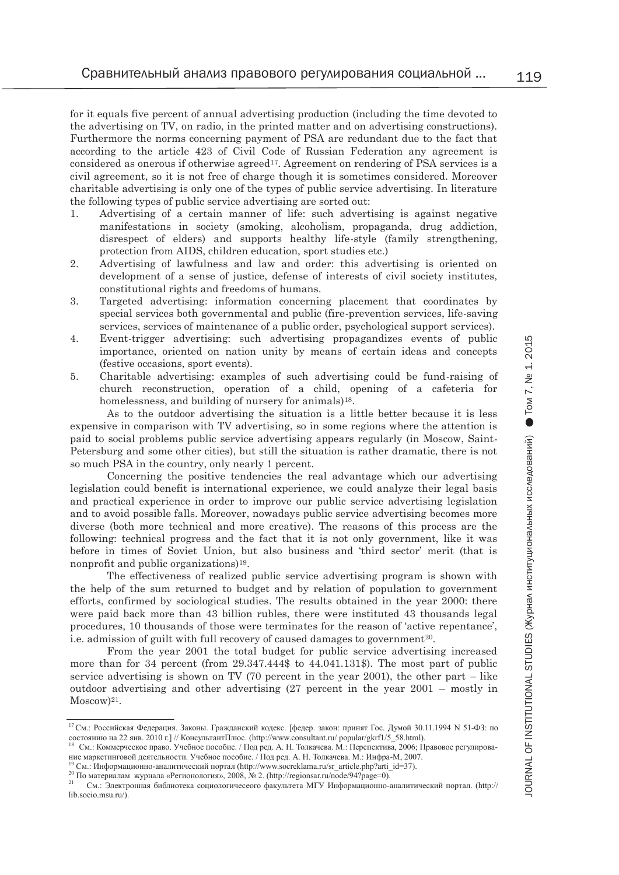for it equals five percent of annual advertising production (including the time devoted to the advertising on TV, on radio, in the printed matter and on advertising constructions). Furthermore the norms concerning payment of PSA are redundant due to the fact that according to the article 423 of Civil Code of Russian Federation any agreement is considered as onerous if otherwise agreed<sup>17</sup>. Agreement on rendering of PSA services is a civil agreement, so it is not free of charge though it is sometimes considered. Moreover charitable advertising is only one of the types of public service advertising. In literature the following types of public service advertising are sorted out:

- 1. Advertising of a certain manner of life: such advertising is against negative manifestations in society (smoking, alcoholism, propaganda, drug addiction, disrespect of elders) and supports healthy life-style (family strengthening, protection from AIDS, children education, sport studies etc.)
- 2. Advertising of lawfulness and law and order: this advertising is oriented on development of a sense of justice, defense of interests of civil society institutes, constitutional rights and freedoms of humans.
- 3. Targeted advertising: information concerning placement that coordinates by special services both governmental and public (fire-prevention services, life-saving services, services of maintenance of a public order, psychological support services).
- 4. Event-trigger advertising: such advertising propagandizes events of public importance, oriented on nation unity by means of certain ideas and concepts (festive occasions, sport events).
- 5. Charitable advertising: examples of such advertising could be fund-raising of church reconstruction, operation of a child, opening of a cafeteria for homelessness, and building of nursery for animals)<sup>18</sup>.

As to the outdoor advertising the situation is a little better because it is less expensive in comparison with TV advertising, so in some regions where the attention is paid to social problems public service advertising appears regularly (in Moscow, Saint-Petersburg and some other cities), but still the situation is rather dramatic, there is not so much PSA in the country, only nearly 1 percent.

Concerning the positive tendencies the real advantage which our advertising legislation could benefit is international experience, we could analyze their legal basis and practical experience in order to improve our public service advertising legislation and to avoid possible falls. Moreover, nowadays public service advertising becomes more diverse (both more technical and more creative). The reasons of this process are the following: technical progress and the fact that it is not only government, like it was before in times of Soviet Union, but also business and 'third sector' merit (that is nonprofit and public organizations)19.

The effectiveness of realized public service advertising program is shown with the help of the sum returned to budget and by relation of population to government efforts, confirmed by sociological studies. The results obtained in the year 2000: there were paid back more than 43 billion rubles, there were instituted 43 thousands legal procedures, 10 thousands of those were terminates for the reason of 'active repentance', i.e. admission of guilt with full recovery of caused damages to government20.

From the year 2001 the total budget for public service advertising increased more than for 34 percent (from 29.347.444\$ to 44.041.131\$). The most part of public service advertising is shown on TV (70 percent in the year 2001), the other part – like outdoor advertising and other advertising (27 percent in the year 2001 – mostly in Moscow)<sup>21</sup>.

119

<sup>17</sup>См.: Российская Федерация. Законы. Гражданский кодекс. [федер. закон: принят Гос. Думой 30.11.1994 N 51-ФЗ: по состоянию на 22 янв. 2010 г.] // КонсультантПлюс. (http://www.consultant.ru/ popular/gkrf1/5\_58.html).

<sup>18</sup> См.: Коммерческое право. Учебное пособие. / Под ред. А. Н. Толкачева. М.: Перспектива, 2006; Правовое регулирование маркетинговой деятельности. Учебное пособие. / Под ред. А. Н. Толкачева. М.: Инфра-М, 2007.

<sup>19</sup> См.: Информационно-аналитический портал (http://www.socreklama.ru/sr\_article.php?arti\_id=37).

<sup>&</sup>lt;sup>20</sup> По материалам журнала «Регионология», 2008, № 2. (http://regionsar.ru/node/94?page=0).

<sup>21</sup> См.: Электронная библиотека социологичесеого факультета МГУ Информационно-аналитический портал. (http:// lib.socio.msu.ru/).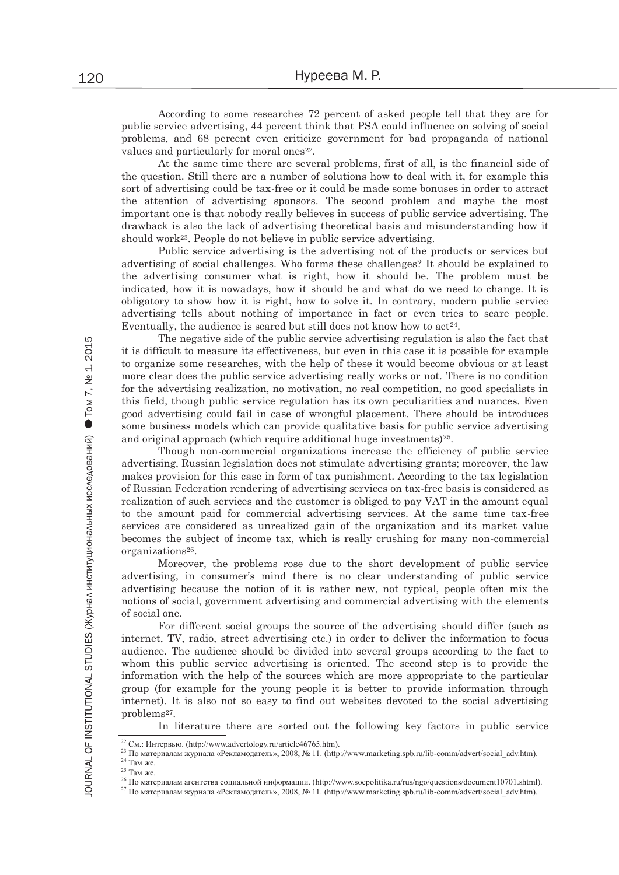According to some researches 72 percent of asked people tell that they are for public service advertising, 44 percent think that PSA could influence on solving of social problems, and 68 percent even criticize government for bad propaganda of national values and particularly for moral ones<sup>22</sup>.

At the same time there are several problems, first of all, is the financial side of the question. Still there are a number of solutions how to deal with it, for example this sort of advertising could be tax-free or it could be made some bonuses in order to attract the attention of advertising sponsors. The second problem and maybe the most important one is that nobody really believes in success of public service advertising. The drawback is also the lack of advertising theoretical basis and misunderstanding how it should work<sup>23</sup>. People do not believe in public service advertising.

Public service advertising is the advertising not of the products or services but advertising of social challenges. Who forms these challenges? It should be explained to the advertising consumer what is right, how it should be. The problem must be indicated, how it is nowadays, how it should be and what do we need to change. It is obligatory to show how it is right, how to solve it. In contrary, modern public service advertising tells about nothing of importance in fact or even tries to scare people. Eventually, the audience is scared but still does not know how to  $act^{24}$ .

The negative side of the public service advertising regulation is also the fact that it is difficult to measure its effectiveness, but even in this case it is possible for example to organize some researches, with the help of these it would become obvious or at least more clear does the public service advertising really works or not. There is no condition for the advertising realization, no motivation, no real competition, no good specialists in this field, though public service regulation has its own peculiarities and nuances. Even good advertising could fail in case of wrongful placement. There should be introduces some business models which can provide qualitative basis for public service advertising and original approach (which require additional huge investments)<sup>25</sup>.

Though non-commercial organizations increase the efficiency of public service advertising, Russian legislation does not stimulate advertising grants; moreover, the law makes provision for this case in form of tax punishment. According to the tax legislation of Russian Federation rendering of advertising services on tax-free basis is considered as realization of such services and the customer is obliged to pay VAT in the amount equal to the amount paid for commercial advertising services. At the same time tax-free services are considered as unrealized gain of the organization and its market value becomes the subject of income tax, which is really crushing for many non-commercial organizations26.

Moreover, the problems rose due to the short development of public service advertising, in consumer's mind there is no clear understanding of public service advertising because the notion of it is rather new, not typical, people often mix the notions of social, government advertising and commercial advertising with the elements of social one.

For different social groups the source of the advertising should differ (such as internet, TV, radio, street advertising etc.) in order to deliver the information to focus audience. The audience should be divided into several groups according to the fact to whom this public service advertising is oriented. The second step is to provide the information with the help of the sources which are more appropriate to the particular group (for example for the young people it is better to provide information through internet). It is also not so easy to find out websites devoted to the social advertising problems27.

In literature there are sorted out the following key factors in public service

<sup>&</sup>lt;sup>22</sup> См.: Интервью. (http://www.advertology.ru/article46765.htm).

<sup>&</sup>lt;sup>23</sup> По материалам журнала «[Рекламодатель»](http://www.reklamodatel.ru), 2008, № 11. ([http://www.marketing.spb.ru/lib-comm/advert/social\\_adv.htm\)](http://www.marketing.spb.ru/lib-comm/advert/social_adv.htm).

<sup>24</sup> Там же.

 $25$  Там же.

<sup>&</sup>lt;sup>26</sup> По материалам агентства социальной информации. (http://www.socpolitika.ru/rus/ngo/questions/document10701.shtml).

<sup>&</sup>lt;sup>27</sup> По материалам журнала «Рекламодатель», 2008, № 11. (http://www.marketing.spb.ru/lib-comm/advert/social\_adv.htm).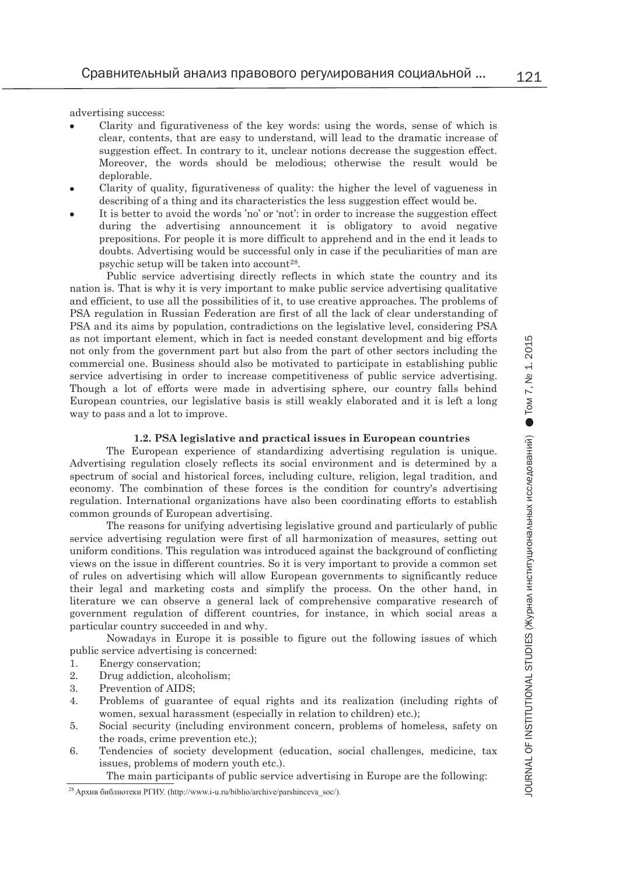advertising success:

- Clarity and figurativeness of the key words: using the words, sense of which is clear, contents, that are easy to understand, will lead to the dramatic increase of suggestion effect. In contrary to it, unclear notions decrease the suggestion effect. Moreover, the words should be melodious; otherwise the result would be deplorable.
- Clarity of quality, figurativeness of quality: the higher the level of vagueness in describing of a thing and its characteristics the less suggestion effect would be.
- It is better to avoid the words 'no' or 'not': in order to increase the suggestion effect during the advertising announcement it is obligatory to avoid negative prepositions. For people it is more difficult to apprehend and in the end it leads to doubts. Advertising would be successful only in case if the peculiarities of man are psychic setup will be taken into account28.

Public service advertising directly reflects in which state the country and its nation is. That is why it is very important to make public service advertising qualitative and efficient, to use all the possibilities of it, to use creative approaches. The problems of PSA regulation in Russian Federation are first of all the lack of clear understanding of PSA and its aims by population, contradictions on the legislative level, considering PSA as not important element, which in fact is needed constant development and big efforts not only from the government part but also from the part of other sectors including the commercial one. Business should also be motivated to participate in establishing public service advertising in order to increase competitiveness of public service advertising. Though a lot of efforts were made in advertising sphere, our country falls behind European countries, our legislative basis is still weakly elaborated and it is left a long way to pass and a lot to improve.

#### **1.2. PSA legislative and practical issues in European countries**

The European experience of standardizing advertising regulation is unique. Advertising regulation closely reflects its social environment and is determined by a spectrum of social and historical forces, including culture, religion, legal tradition, and economy. The combination of these forces is the condition for country's advertising regulation. International organizations have also been coordinating efforts to establish common grounds of European advertising.

The reasons for unifying advertising legislative ground and particularly of public service advertising regulation were first of all harmonization of measures, setting out uniform conditions. This regulation was introduced against the background of conflicting views on the issue in different countries. So it is very important to provide a common set of rules on advertising which will allow European governments to significantly reduce their legal and marketing costs and simplify the process. On the other hand, in literature we can observe a general lack of comprehensive comparative research of government regulation of different countries, for instance, in which social areas a particular country succeeded in and why.

Nowadays in Europe it is possible to figure out the following issues of which public service advertising is concerned:

- 1. Energy conservation;
- 2. Drug addiction, alcoholism;
- 3. Prevention of AIDS;
- 4. Problems of guarantee of equal rights and its realization (including rights of women, sexual harassment (especially in relation to children) etc.);
- 5. Social security (including environment concern, problems of homeless, safety on the roads, crime prevention etc.);
- 6. Tendencies of society development (education, social challenges, medicine, tax issues, problems of modern youth etc.).

The main participants of public service advertising in Europe are the following:

<sup>&</sup>lt;sup>28</sup> Архив библиотеки РГИУ. (http://www.i-u.ru/biblio/archive/parshinceva\_soc/).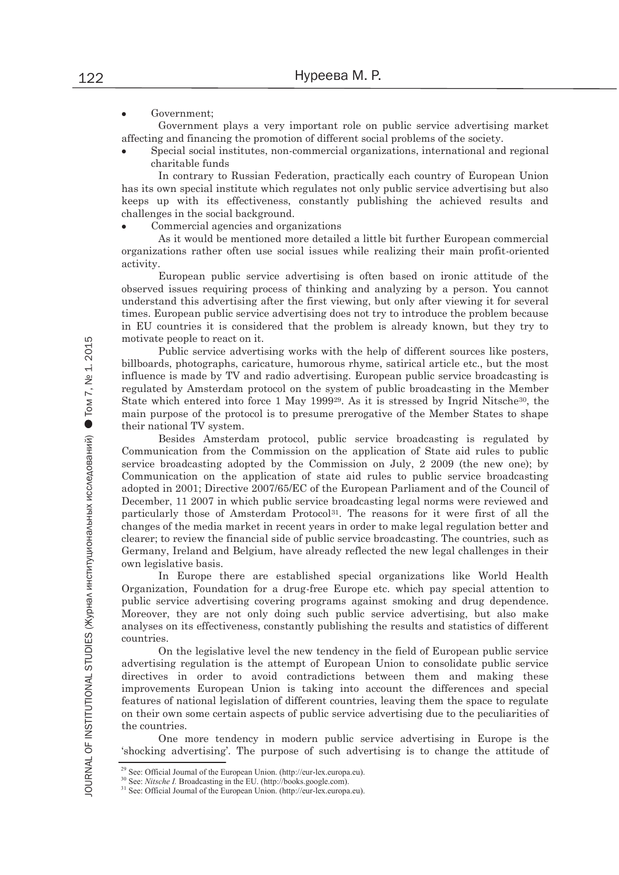Government;

Government plays a very important role on public service advertising market affecting and financing the promotion of different social problems of the society.

Special social institutes, non-commercial organizations, international and regional charitable funds

In contrary to Russian Federation, practically each country of European Union has its own special institute which regulates not only public service advertising but also keeps up with its effectiveness, constantly publishing the achieved results and challenges in the social background.

Commercial agencies and organizations

As it would be mentioned more detailed a little bit further European commercial organizations rather often use social issues while realizing their main profit-oriented activity.

European public service advertising is often based on ironic attitude of the observed issues requiring process of thinking and analyzing by a person. You cannot understand this advertising after the first viewing, but only after viewing it for several times. European public service advertising does not try to introduce the problem because in EU countries it is considered that the problem is already known, but they try to motivate people to react on it.

Public service advertising works with the help of different sources like posters, billboards, photographs, caricature, humorous rhyme, satirical article etc., but the most influence is made by TV and radio advertising. European public service broadcasting is regulated by Amsterdam protocol on the system of public broadcasting in the Member State which entered into force 1 May 1999<sup>29</sup>. As it is stressed by Ingrid Nitsche<sup>30</sup>, the main purpose of the protocol is to presume prerogative of the Member States to shape their national TV system.

Besides Amsterdam protocol, public service broadcasting is regulated by [Communication from the Commission on the application of State aid rules to public](http://eur-lex.europa.eu/LexUriServ/LexUriServ.do?uri=CELEX:52009XC1027(01):EN:NOT)  [service broadcasting a](http://eur-lex.europa.eu/LexUriServ/LexUriServ.do?uri=CELEX:52009XC1027(01):EN:NOT)dopted by the Commission on July, 2 2009 (the new one); by Communication on the application of state aid rules to public service broadcasting adopted in 2001; Directive 2007/65/EC of the European Parliament and of the Council of December, 11 2007 in which public service broadcasting legal norms were reviewed and particularly those of Amsterdam Protocol31. The reasons for it were first of all the changes of the media market in recent years in order to make legal regulation better and clearer; to review the financial side of public service broadcasting. The countries, such as Germany, Ireland and Belgium, have already reflected the new legal challenges in their own legislative basis.

In Europe there are established special organizations like World Health Organization, Foundation for a drug-free Europe etc. which pay special attention to public service advertising covering programs against smoking and drug dependence. Moreover, they are not only doing such public service advertising, but also make analyses on its effectiveness, constantly publishing the results and statistics of different countries.

On the legislative level the new tendency in the field of European public service advertising regulation is the attempt of European Union to consolidate public service directives in order to avoid contradictions between them and making these improvements European Union is taking into account the differences and special features of national legislation of different countries, leaving them the space to regulate on their own some certain aspects of public service advertising due to the peculiarities of the countries.

One more tendency in modern public service advertising in Europe is the 'shocking advertising'. The purpose of such advertising is to change the attitude of

<sup>29</sup> See: Official Journal of the European Union. (http://eur-lex.europa.eu).

<sup>30</sup> See: *Nitsche I.* Broadcasting in the EU. (http://books.google.com).

<sup>&</sup>lt;sup>31</sup> See: Official Journal of the European Union. (http://eur-lex.europa.eu).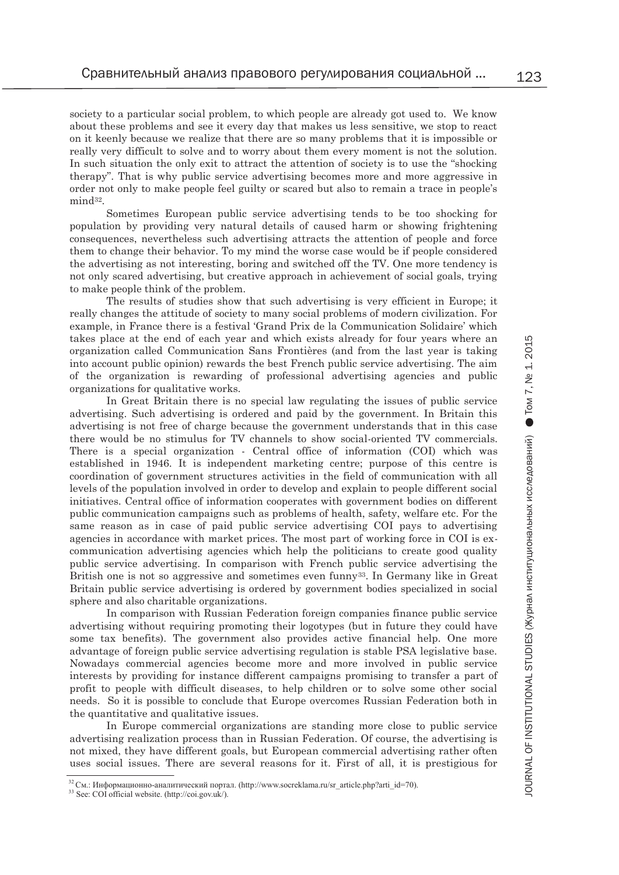society to a particular social problem, to which people are already got used to. We know about these problems and see it every day that makes us less sensitive, we stop to react on it keenly because we realize that there are so many problems that it is impossible or really very difficult to solve and to worry about them every moment is not the solution. In such situation the only exit to attract the attention of society is to use the "shocking therapy". That is why public service advertising becomes more and more aggressive in order not only to make people feel guilty or scared but also to remain a trace in people's mind<sup>32</sup>.

Sometimes European public service advertising tends to be too shocking for population by providing very natural details of caused harm or showing frightening consequences, nevertheless such advertising attracts the attention of people and force them to change their behavior. To my mind the worse case would be if people considered the advertising as not interesting, boring and switched off the TV. One more tendency is not only scared advertising, but creative approach in achievement of social goals, trying to make people think of the problem.

The results of studies show that such advertising is very efficient in Europe; it really changes the attitude of society to many social problems of modern civilization. For example, in France there is a festival 'Grand Prix de la Communication Solidaire' which takes place at the end of each year and which exists already for four years where an organization called Communication Sans Frontières (and from the last year is taking into account public opinion) rewards the best French public service advertising. The aim of the organization is rewarding of professional advertising agencies and public organizations for qualitative works.

In Great Britain there is no special law regulating the issues of public service advertising. Such advertising is ordered and paid by the government. In Britain this advertising is not free of charge because the government understands that in this case there would be no stimulus for TV channels to show social-oriented TV commercials. There is a special organization - Central office of information (COI) which was established in 1946. It is independent marketing centre; purpose of this centre is coordination of government structures activities in the field of communication with all levels of the population involved in order to develop and explain to people different social initiatives. Central office of information cooperates with government bodies on different public communication campaigns such as problems of health, safety, welfare etc. For the same reason as in case of paid public service advertising COI pays to advertising agencies in accordance with market prices. The most part of working force in COI is excommunication advertising agencies which help the politicians to create good quality public service advertising. In comparison with French public service advertising the British one is not so aggressive and sometimes even funny<sup>33</sup>. In Germany like in Great Britain public service advertising is ordered by government bodies specialized in social sphere and also charitable organizations.

In comparison with Russian Federation foreign companies finance public service advertising without requiring promoting their logotypes (but in future they could have some tax benefits). The government also provides active financial help. One more advantage of foreign public service advertising regulation is stable PSA legislative base. Nowadays commercial agencies become more and more involved in public service interests by providing for instance different campaigns promising to transfer a part of profit to people with difficult diseases, to help children or to solve some other social needs. So it is possible to conclude that Europe overcomes Russian Federation both in the quantitative and qualitative issues.

In Europe commercial organizations are standing more close to public service advertising realization process than in Russian Federation. Of course, the advertising is not mixed, they have different goals, but European commercial advertising rather often uses social issues. There are several reasons for it. First of all, it is prestigious for

<sup>&</sup>lt;sup>32</sup> См.: Информационно-аналитический портал. (http://www.socreklama.ru/sr\_article.php?arti\_id=70).

<sup>33</sup> See: COI official website. (http://coi.gov.uk/).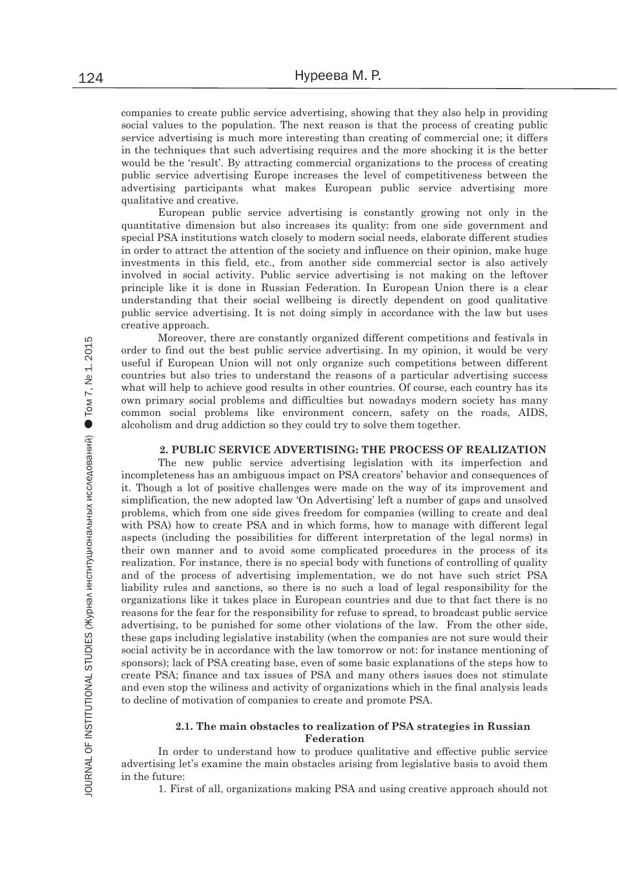companies to create public service advertising, showing that they also help in providing social values to the population. The next reason is that the process of creating public service advertising is much more interesting than creating of commercial one; it differs in the techniques that such advertising requires and the more shocking it is the better would be the 'result'. By attracting commercial organizations to the process of creating public service advertising Europe increases the level of competitiveness between the advertising participants what makes European public service advertising more qualitative and creative.

European public service advertising is constantly growing not only in the quantitative dimension but also increases its quality: from one side government and special PSA institutions watch closely to modern social needs, elaborate different studies in order to attract the attention of the society and influence on their opinion, make huge investments in this field, etc., from another side commercial sector is also actively involved in social activity. Public service advertising is not making on the leftover principle like it is done in Russian Federation. In European Union there is a clear understanding that their social wellbeing is directly dependent on good qualitative public service advertising. It is not doing simply in accordance with the law but uses creative approach.

Moreover, there are constantly organized different competitions and festivals in order to find out the best public service advertising. In my opinion, it would be very useful if European Union will not only organize such competitions between different countries but also tries to understand the reasons of a particular advertising success what will help to achieve good results in other countries. Of course, each country has its own primary social problems and difficulties but nowadays modern society has many common social problems like environment concern, safety on the roads, AIDS, alcoholism and drug addiction so they could try to solve them together.

## **2. PUBLIC SERVICE ADVERTISING: THE PROCESS OF REALIZATION**

The new public service advertising legislation with its imperfection and incompleteness has an ambiguous impact on PSA creators' behavior and consequences of it. Though a lot of positive challenges were made on the way of its improvement and simplification, the new adopted law 'On Advertising' left a number of gaps and unsolved problems, which from one side gives freedom for companies (willing to create and deal with PSA) how to create PSA and in which forms, how to manage with different legal aspects (including the possibilities for different interpretation of the legal norms) in their own manner and to avoid some complicated procedures in the process of its realization. For instance, there is no special body with functions of controlling of quality and of the process of advertising implementation, we do not have such strict PSA liability rules and sanctions, so there is no such a load of legal responsibility for the organizations like it takes place in European countries and due to that fact there is no reasons for the fear for the responsibility for refuse to spread, to broadcast public service advertising, to be punished for some other violations of the law. From the other side, these gaps including legislative instability (when the companies are not sure would their social activity be in accordance with the law tomorrow or not: for instance mentioning of sponsors); lack of PSA creating base, even of some basic explanations of the steps how to create PSA; finance and tax issues of PSA and many others issues does not stimulate and even stop the wiliness and activity of organizations which in the final analysis leads to decline of motivation of companies to create and promote PSA.

#### **2.1. The main obstacles to realization of PSA strategies in Russian Federation**

In order to understand how to produce qualitative and effective public service advertising let's examine the main obstacles arising from legislative basis to avoid them in the future:

1. First of all, organizations making PSA and using creative approach should not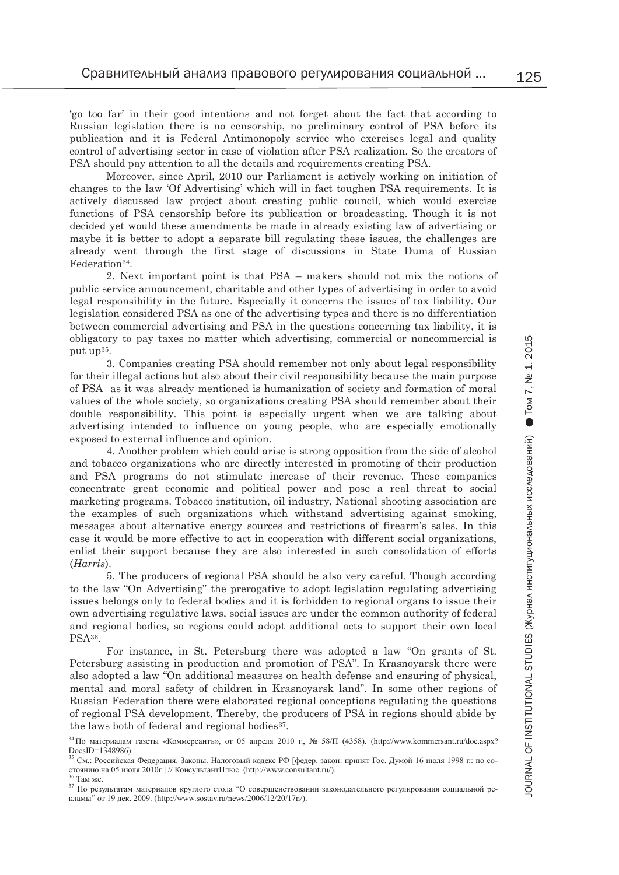'go too far' in their good intentions and not forget about the fact that according to Russian legislation there is no censorship, no preliminary control of PSA before its publication and it is Federal Antimonopoly service who exercises legal and quality control of advertising sector in case of violation after PSA realization. So the creators of PSA should pay attention to all the details and requirements creating PSA.

Moreover, since April, 2010 our Parliament is actively working on initiation of changes to the law 'Of Advertising' which will in fact toughen PSA requirements. It is actively discussed law project about creating public council, which would exercise functions of PSA censorship before its publication or broadcasting. Though it is not decided yet would these amendments be made in already existing law of advertising or maybe it is better to adopt a separate bill regulating these issues, the challenges are already went through the first stage of discussions in State Duma of Russian Federation<sup>34</sup>.

2. Next important point is that PSA – makers should not mix the notions of public service announcement, charitable and other types of advertising in order to avoid legal responsibility in the future. Especially it concerns the issues of tax liability. Our legislation considered PSA as one of the advertising types and there is no differentiation between commercial advertising and PSA in the questions concerning tax liability, it is obligatory to pay taxes no matter which advertising, commercial or noncommercial is put up35.

3. Companies creating PSA should remember not only about legal responsibility for their illegal actions but also about their civil responsibility because the main purpose of PSA as it was already mentioned is humanization of society and formation of moral values of the whole society, so organizations creating PSA should remember about their double responsibility. This point is especially urgent when we are talking about advertising intended to influence on young people, who are especially emotionally exposed to external influence and opinion.

4. Another problem which could arise is strong opposition from the side of alcohol and tobacco organizations who are directly interested in promoting of their production and PSA programs do not stimulate increase of their revenue. These companies concentrate great economic and political power and pose a real threat to social marketing programs. Tobacco institution, oil industry, National shooting association are the examples of such organizations which withstand advertising against smoking, messages about alternative energy sources and restrictions of firearm's sales. In this case it would be more effective to act in cooperation with different social organizations, enlist their support because they are also interested in such consolidation of efforts (*Harris*).

5. The producers of regional PSA should be also very careful. Though according to the law "On Advertising" the prerogative to adopt legislation regulating advertising issues belongs only to federal bodies and it is forbidden to regional organs to issue their own advertising regulative laws, social issues are under the common authority of federal and regional bodies, so regions could adopt additional acts to support their own local PSA36.

For instance, in St. Petersburg there was adopted a law "On grants of St. Petersburg assisting in production and promotion of PSA". In Krasnoyarsk there were also adopted a law "On additional measures on health defense and ensuring of physical, mental and moral safety of children in Krasnoyarsk land". In some other regions of Russian Federation there were elaborated regional conceptions regulating the questions of regional PSA development. Thereby, the producers of PSA in regions should abide by the laws both of federal and regional bodies<sup>37</sup>.

<sup>&</sup>lt;sup>34</sup> По материалам газеты «Коммерсантъ», от 05 апреля 2010 г., № 58/П (4358). (http://www.kommersant.ru/doc.aspx? DocsID=1348986).

<sup>&</sup>lt;sup>35</sup> См.: Российская Федерация. Законы. Налоговый кодекс РФ [федер. закон: принят Гос. Думой 16 июля 1998 г.: по состоянию на 05 июля 2010г.] // КонсультантПлюс. (http://www.consultant.ru/).

Там же.

<sup>37</sup> По результатам материалов круглого стола "О совершенствовании законодательного регулирования социальной рекламы" от 19 дек. 2009. (http://www.sostav.ru/news/2006/12/20/17n/).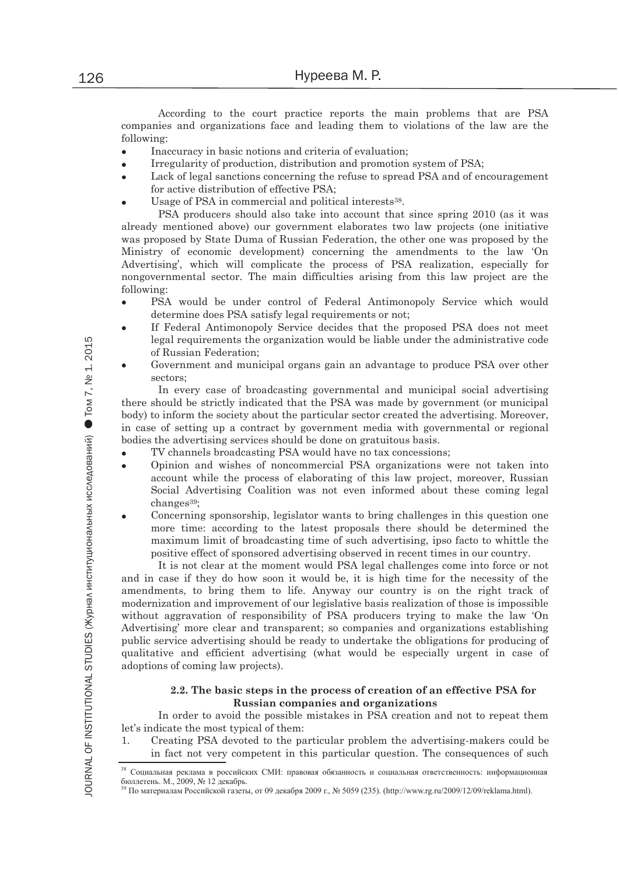According to the court practice reports the main problems that are PSA companies and organizations face and leading them to violations of the law are the following:

- Inaccuracy in basic notions and criteria of evaluation;
- Irregularity of production, distribution and promotion system of PSA;
- Lack of legal sanctions concerning the refuse to spread PSA and of encouragement for active distribution of effective PSA;
- Usage of PSA in commercial and political interests<sup>38</sup>.

PSA producers should also take into account that since spring 2010 (as it was already mentioned above) our government elaborates two law projects (one initiative was proposed by State Duma of Russian Federation, the other one was proposed by the Ministry of economic development) concerning the amendments to the law 'On Advertising', which will complicate the process of PSA realization, especially for nongovernmental sector. The main difficulties arising from this law project are the following:

- PSA would be under control of Federal Antimonopoly Service which would determine does PSA satisfy legal requirements or not;
- If Federal Antimonopoly Service decides that the proposed PSA does not meet legal requirements the organization would be liable under the administrative code of Russian Federation;
- Government and municipal organs gain an advantage to produce PSA over other sectors;

In every case of broadcasting governmental and municipal social advertising there should be strictly indicated that the PSA was made by government (or municipal body) to inform the society about the particular sector created the advertising. Moreover, in case of setting up a contract by government media with governmental or regional bodies the advertising services should be done on gratuitous basis.

- TV channels broadcasting PSA would have no tax concessions;
- Opinion and wishes of noncommercial PSA organizations were not taken into account while the process of elaborating of this law project, moreover, Russian Social Advertising Coalition was not even informed about these coming legal changes39;
- Concerning sponsorship, legislator wants to bring challenges in this question one more time: according to the latest proposals there should be determined the maximum limit of broadcasting time of such advertising, ipso facto to whittle the positive effect of sponsored advertising observed in recent times in our country.

It is not clear at the moment would PSA legal challenges come into force or not and in case if they do how soon it would be, it is high time for the necessity of the amendments, to bring them to life. Anyway our country is on the right track of modernization and improvement of our legislative basis realization of those is impossible without aggravation of responsibility of PSA producers trying to make the law 'On Advertising' more clear and transparent; so companies and organizations establishing public service advertising should be ready to undertake the obligations for producing of qualitative and efficient advertising (what would be especially urgent in case of adoptions of coming law projects).

#### **2.2. The basic steps in the process of creation of an effective PSA for Russian companies and organizations**

In order to avoid the possible mistakes in PSA creation and not to repeat them let's indicate the most typical of them:

1. Creating PSA devoted to the particular problem the advertising-makers could be in fact not very competent in this particular question. The consequences of such

<sup>38</sup> Социальная реклама в российских СМИ: правовая обязанность и социальная ответственность: информационная бюллетень. М., 2009, № 12 декабрь.

<sup>&</sup>lt;sup>39</sup> По материалам Российской газеты, от 09 декабря 2009 г., № 5059 (235). (http://www.rg.ru/2009/12/09/reklama.html).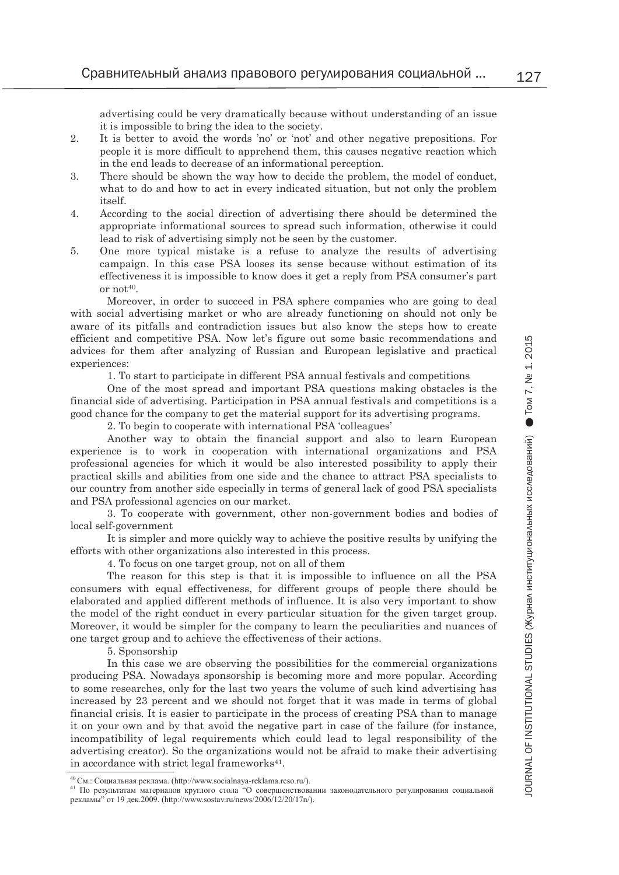advertising could be very dramatically because without understanding of an issue it is impossible to bring the idea to the society.

- 2. It is better to avoid the words 'no' or 'not' and other negative prepositions. For people it is more difficult to apprehend them, this causes negative reaction which in the end leads to decrease of an informational perception.
- 3. There should be shown the way how to decide the problem, the model of conduct, what to do and how to act in every indicated situation, but not only the problem itself.
- 4. According to the social direction of advertising there should be determined the appropriate informational sources to spread such information, otherwise it could lead to risk of advertising simply not be seen by the customer.
- 5. One more typical mistake is a refuse to analyze the results of advertising campaign. In this case PSA looses its sense because without estimation of its effectiveness it is impossible to know does it get a reply from PSA consumer's part or not40.

Moreover, in order to succeed in PSA sphere companies who are going to deal with social advertising market or who are already functioning on should not only be aware of its pitfalls and contradiction issues but also know the steps how to create efficient and competitive PSA. Now let's figure out some basic recommendations and advices for them after analyzing of Russian and European legislative and practical experiences:

1. To start to participate in different PSA annual festivals and competitions

One of the most spread and important PSA questions making obstacles is the financial side of advertising. Participation in PSA annual festivals and competitions is a good chance for the company to get the material support for its advertising programs.

2. To begin to cooperate with international PSA 'colleagues'

Another way to obtain the financial support and also to learn European experience is to work in cooperation with international organizations and PSA professional agencies for which it would be also interested possibility to apply their practical skills and abilities from one side and the chance to attract PSA specialists to our country from another side especially in terms of general lack of good PSA specialists and PSA professional agencies on our market.

3. To cooperate with government, other non-government bodies and bodies of local self-government

It is simpler and more quickly way to achieve the positive results by unifying the efforts with other organizations also interested in this process.

4. To focus on one target group, not on all of them

The reason for this step is that it is impossible to influence on all the PSA consumers with equal effectiveness, for different groups of people there should be elaborated and applied different methods of influence. It is also very important to show the model of the right conduct in every particular situation for the given target group. Moreover, it would be simpler for the company to learn the peculiarities and nuances of one target group and to achieve the effectiveness of their actions.

5. Sponsorship

In this case we are observing the possibilities for the commercial organizations producing PSA. Nowadays sponsorship is becoming more and more popular. According to some researches, only for the last two years the volume of such kind advertising has increased by 23 percent and we should not forget that it was made in terms of global financial crisis. It is easier to participate in the process of creating PSA than to manage it on your own and by that avoid the negative part in case of the failure (for instance, incompatibility of legal requirements which could lead to legal responsibility of the advertising creator). So the organizations would not be afraid to make their advertising in accordance with strict legal frameworks<sup>41</sup>.

127

<sup>40</sup>См.: Социальная реклама. (http://www.socialnaya-reklama.rcso.ru/).

<sup>41</sup> По результатам материалов круглого стола "О совершенствовании законодательного регулирования социальной рекламы" от 19 дек.2009. (http://www.sostav.ru/news/2006/12/20/17n/).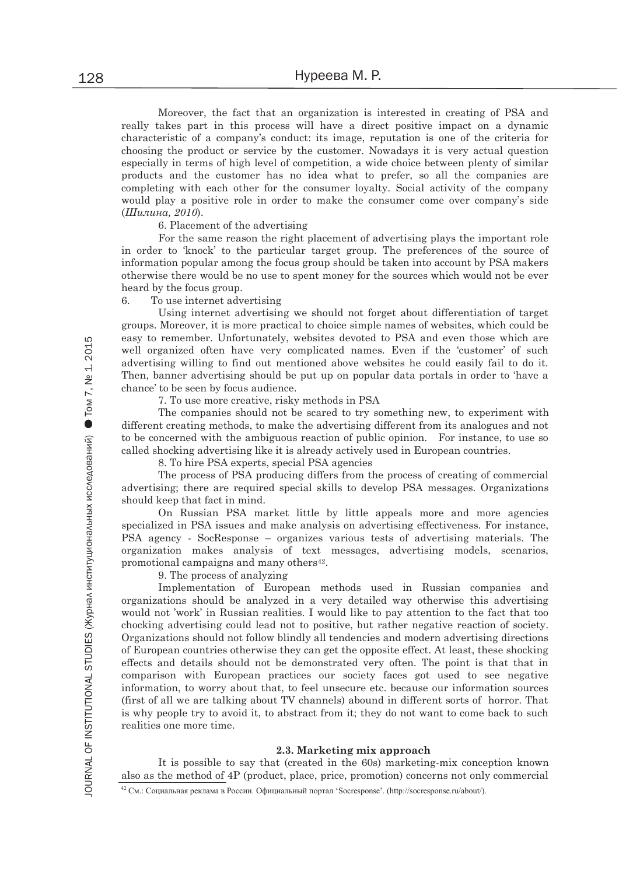Moreover, the fact that an organization is interested in creating of PSA and really takes part in this process will have a direct positive impact on a dynamic characteristic of a company's conduct: its image, reputation is one of the criteria for choosing the product or service by the customer. Nowadays it is very actual question especially in terms of high level of competition, a wide choice between plenty of similar products and the customer has no idea what to prefer, so all the companies are completing with each other for the consumer loyalty. Social activity of the company would play a positive role in order to make the consumer come over company's side (*Шилина, 2010*).

6. Placement of the advertising

For the same reason the right placement of advertising plays the important role in order to 'knock' to the particular target group. The preferences of the source of information popular among the focus group should be taken into account by PSA makers otherwise there would be no use to spent money for the sources which would not be ever heard by the focus group.

6. To use internet advertising

Using internet advertising we should not forget about differentiation of target groups. Moreover, it is more practical to choice simple names of websites, which could be easy to remember. Unfortunately, websites devoted to PSA and even those which are well organized often have very complicated names. Even if the 'customer' of such advertising willing to find out mentioned above websites he could easily fail to do it. Then, banner advertising should be put up on popular data portals in order to 'have a chance' to be seen by focus audience.

7. To use more creative, risky methods in PSA

The companies should not be scared to try something new, to experiment with different creating methods, to make the advertising different from its analogues and not to be concerned with the ambiguous reaction of public opinion. For instance, to use so called shocking advertising like it is already actively used in European countries.

8. To hire PSA experts, special PSA agencies

The process of PSA producing differs from the process of creating of commercial advertising; there are required special skills to develop PSA messages. Organizations should keep that fact in mind.

On Russian PSA market little by little appeals more and more agencies specialized in PSA issues and make analysis on advertising effectiveness. For instance, PSA agency - SocResponse – organizes various tests of advertising materials. The organization makes analysis of text messages, advertising models, scenarios, promotional campaigns and many others<sup>42</sup>.

9. The process of analyzing

Implementation of European methods used in Russian companies and organizations should be analyzed in a very detailed way otherwise this advertising would not 'work' in Russian realities. I would like to pay attention to the fact that too chocking advertising could lead not to positive, but rather negative reaction of society. Organizations should not follow blindly all tendencies and modern advertising directions of European countries otherwise they can get the opposite effect. At least, these shocking effects and details should not be demonstrated very often. The point is that that in comparison with European practices our society faces got used to see negative information, to worry about that, to feel unsecure etc. because our information sources (first of all we are talking about TV channels) abound in different sorts of horror. That is why people try to avoid it, to abstract from it; they do not want to come back to such realities one more time.

#### **2.3. Marketing mix approach**

It is possible to say that (created in the 60s) marketing-mix conception known also as the method of 4P (product, place, price, promotion) concerns not only commercial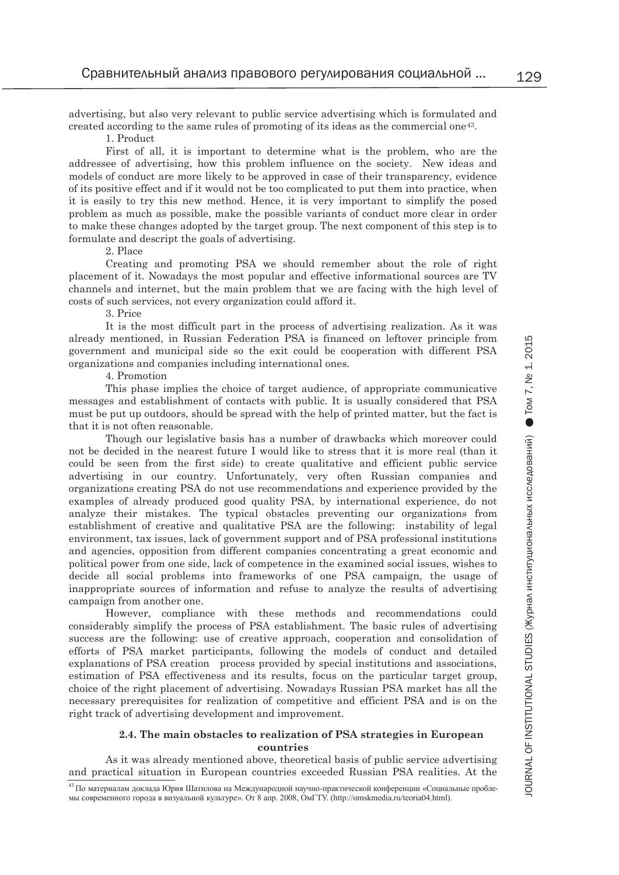advertising, but also very relevant to public service advertising which is formulated and created according to the same rules of promoting of its ideas as the commercial one43.

1. Product

First of all, it is important to determine what is the problem, who are the addressee of advertising, how this problem influence on the society. New ideas and models of conduct are more likely to be approved in case of their transparency, evidence of its positive effect and if it would not be too complicated to put them into practice, when it is easily to try this new method. Hence, it is very important to simplify the posed problem as much as possible, make the possible variants of conduct more clear in order to make these changes adopted by the target group. The next component of this step is to formulate and descript the goals of advertising.

2. Place

Creating and promoting PSA we should remember about the role of right placement of it. Nowadays the most popular and effective informational sources are TV channels and internet, but the main problem that we are facing with the high level of costs of such services, not every organization could afford it.

3. Price

It is the most difficult part in the process of advertising realization. As it was already mentioned, in Russian Federation PSA is financed on leftover principle from government and municipal side so the exit could be cooperation with different PSA organizations and companies including international ones.

4. Promotion

This phase implies the choice of target audience, of appropriate communicative messages and establishment of contacts with public. It is usually considered that PSA must be put up outdoors, should be spread with the help of printed matter, but the fact is that it is not often reasonable.

Though our legislative basis has a number of drawbacks which moreover could not be decided in the nearest future I would like to stress that it is more real (than it could be seen from the first side) to create qualitative and efficient public service advertising in our country. Unfortunately, very often Russian companies and organizations creating PSA do not use recommendations and experience provided by the examples of already produced good quality PSA, by international experience, do not analyze their mistakes. The typical obstacles preventing our organizations from establishment of creative and qualitative PSA are the following: instability of legal environment, tax issues, lack of government support and of PSA professional institutions and agencies, opposition from different companies concentrating a great economic and political power from one side, lack of competence in the examined social issues, wishes to decide all social problems into frameworks of one PSA campaign, the usage of inappropriate sources of information and refuse to analyze the results of advertising campaign from another one.

However, compliance with these methods and recommendations could considerably simplify the process of PSA establishment. The basic rules of advertising success are the following: use of creative approach, cooperation and consolidation of efforts of PSA market participants, following the models of conduct and detailed explanations of PSA creation process provided by special institutions and associations, estimation of PSA effectiveness and its results, focus on the particular target group, choice of the right placement of advertising. Nowadays Russian PSA market has all the necessary prerequisites for realization of competitive and efficient PSA and is on the right track of advertising development and improvement.

#### **2.4. The main obstacles to realization of PSA strategies in European countries**

As it was already mentioned above, theoretical basis of public service advertising and practical situation in European countries exceeded Russian PSA realities. At the

<sup>&</sup>lt;sup>43</sup> По материалам доклада Юрия Шатилова на Международной научно-практической конференции «Социальные проблемы современного города в визуальной культуре». От 8 апр. 2008, ОмГТУ. (http://omskmedia.ru/teoria04.html).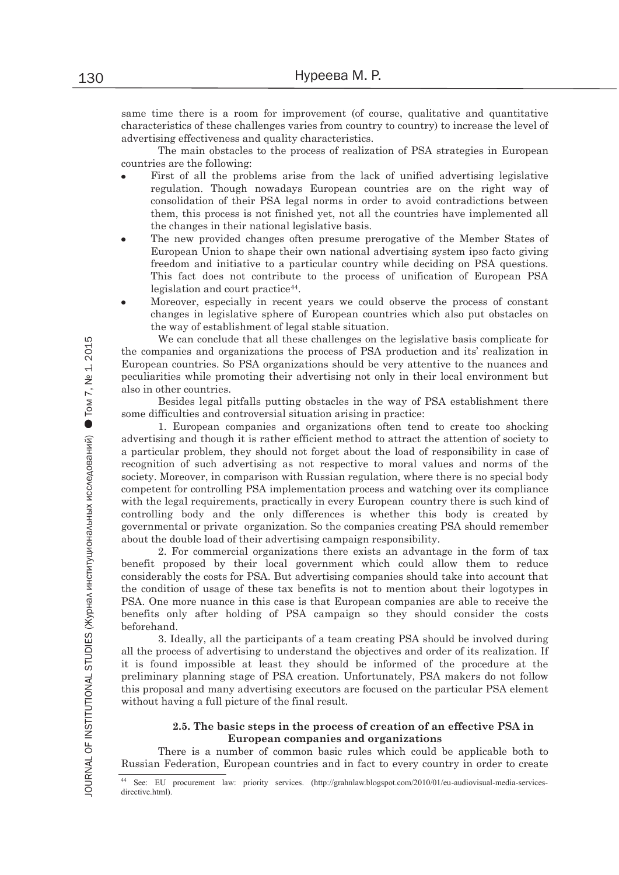same time there is a room for improvement (of course, qualitative and quantitative characteristics of these challenges varies from country to country) to increase the level of advertising effectiveness and quality characteristics.

The main obstacles to the process of realization of PSA strategies in European countries are the following:

- First of all the problems arise from the lack of unified advertising legislative regulation. Though nowadays European countries are on the right way of consolidation of their PSA legal norms in order to avoid contradictions between them, this process is not finished yet, not all the countries have implemented all the changes in their national legislative basis.
- The new provided changes often presume prerogative of the Member States of European Union to shape their own national advertising system ipso facto giving freedom and initiative to a particular country while deciding on PSA questions. This fact does not contribute to the process of unification of European PSA legislation and court practice44.
- Moreover, especially in recent years we could observe the process of constant changes in legislative sphere of European countries which also put obstacles on the way of establishment of legal stable situation.

We can conclude that all these challenges on the legislative basis complicate for the companies and organizations the process of PSA production and its' realization in European countries. So PSA organizations should be very attentive to the nuances and peculiarities while promoting their advertising not only in their local environment but also in other countries.

Besides legal pitfalls putting obstacles in the way of PSA establishment there some difficulties and controversial situation arising in practice:

1. European companies and organizations often tend to create too shocking advertising and though it is rather efficient method to attract the attention of society to a particular problem, they should not forget about the load of responsibility in case of recognition of such advertising as not respective to moral values and norms of the society. Moreover, in comparison with Russian regulation, where there is no special body competent for controlling PSA implementation process and watching over its compliance with the legal requirements, practically in every European country there is such kind of controlling body and the only differences is whether this body is created by governmental or private organization. So the companies creating PSA should remember about the double load of their advertising campaign responsibility.

2. For commercial organizations there exists an advantage in the form of tax benefit proposed by their local government which could allow them to reduce considerably the costs for PSA. But advertising companies should take into account that the condition of usage of these tax benefits is not to mention about their logotypes in PSA. One more nuance in this case is that European companies are able to receive the benefits only after holding of PSA campaign so they should consider the costs beforehand.

3. Ideally, all the participants of a team creating PSA should be involved during all the process of advertising to understand the objectives and order of its realization. If it is found impossible at least they should be informed of the procedure at the preliminary planning stage of PSA creation. Unfortunately, PSA makers do not follow this proposal and many advertising executors are focused on the particular PSA element without having a full picture of the final result.

#### **2.5. The basic steps in the process of creation of an effective PSA in European companies and organizations**

There is a number of common basic rules which could be applicable both to Russian Federation, European countries and in fact to every country in order to create

<sup>44</sup> See: EU procurement law: priority services. (http://grahnlaw.blogspot.com/2010/01/eu-audiovisual-media-servicesdirective.html).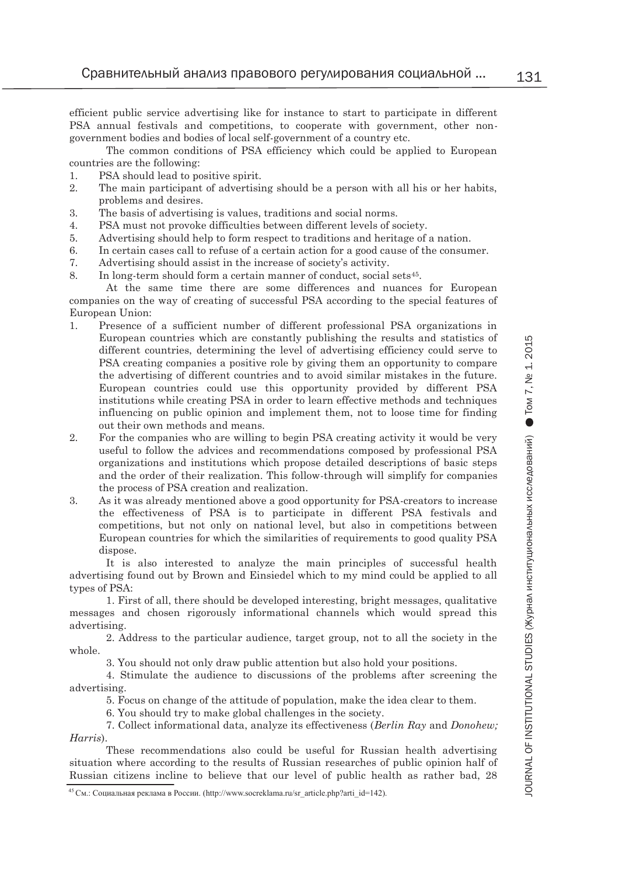efficient public service advertising like for instance to start to participate in different PSA annual festivals and competitions, to cooperate with government, other nongovernment bodies and bodies of local self-government of a country etc.

The common conditions of PSA efficiency which could be applied to European countries are the following:

- 1. PSA should lead to positive spirit.
- 2. The main participant of advertising should be a person with all his or her habits, problems and desires.
- 3. The basis of advertising is values, traditions and social norms.
- 4. PSA must not provoke difficulties between different levels of society.
- 5. Advertising should help to form respect to traditions and heritage of a nation.
- 6. In certain cases call to refuse of a certain action for a good cause of the consumer.
- 7. Advertising should assist in the increase of society's activity.
- 8. In long-term should form a certain manner of conduct, social sets<sup>45</sup>.

At the same time there are some differences and nuances for European companies on the way of creating of successful PSA according to the special features of European Union:

- 1. Presence of a sufficient number of different professional PSA organizations in European countries which are constantly publishing the results and statistics of different countries, determining the level of advertising efficiency could serve to PSA creating companies a positive role by giving them an opportunity to compare the advertising of different countries and to avoid similar mistakes in the future. European countries could use this opportunity provided by different PSA institutions while creating PSA in order to learn effective methods and techniques influencing on public opinion and implement them, not to loose time for finding out their own methods and means.
- 2. For the companies who are willing to begin PSA creating activity it would be very useful to follow the advices and recommendations composed by professional PSA organizations and institutions which propose detailed descriptions of basic steps and the order of their realization. This follow-through will simplify for companies the process of PSA creation and realization.
- 3. As it was already mentioned above a good opportunity for PSA-creators to increase the effectiveness of PSA is to participate in different PSA festivals and competitions, but not only on national level, but also in competitions between European countries for which the similarities of requirements to good quality PSA dispose.

It is also interested to analyze the main principles of successful health advertising found out by Brown and Einsiedel which to my mind could be applied to all types of PSA:

1. First of all, there should be developed interesting, bright messages, qualitative messages and chosen rigorously informational channels which would spread this advertising.

2. Address to the particular audience, target group, not to all the society in the whole.

3. You should not only draw public attention but also hold your positions.

4. Stimulate the audience to discussions of the problems after screening the advertising.

5. Focus on change of the attitude of population, make the idea clear to them.

6. You should try to make global challenges in the society.

7. Collect informational data, analyze its effectiveness (*Berlin Ray* and *Donohew; Harris*).

These recommendations also could be useful for Russian health advertising situation where according to the results of Russian researches of public opinion half of Russian citizens incline to believe that our level of public health as rather bad, 28

<sup>&</sup>lt;sup>45</sup> См.: Социальная реклама в России. (http://www.socreklama.ru/sr\_article.php?arti\_id=142).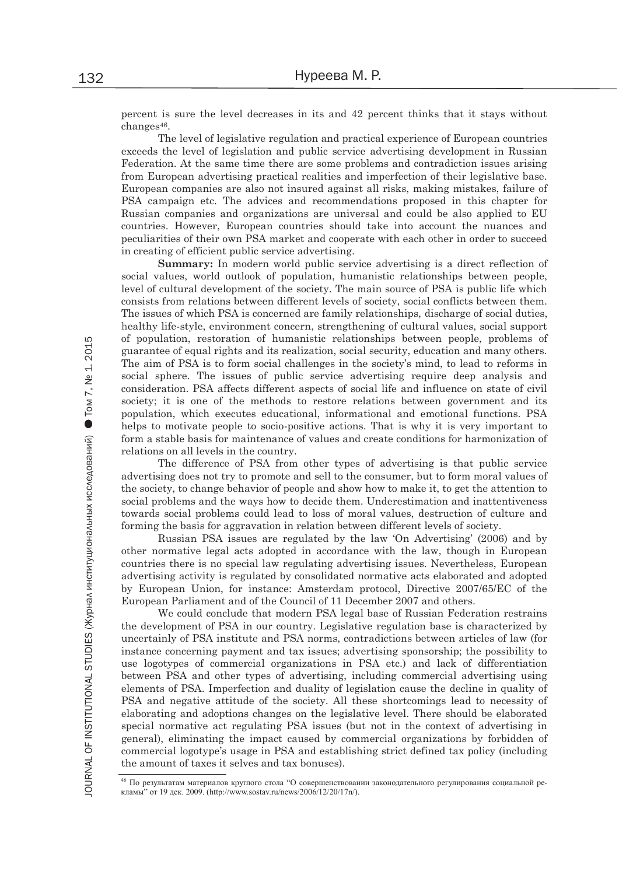percent is sure the level decreases in its and 42 percent thinks that it stays without changes46.

The level of legislative regulation and practical experience of European countries exceeds the level of legislation and public service advertising development in Russian Federation. At the same time there are some problems and contradiction issues arising from European advertising practical realities and imperfection of their legislative base. European companies are also not insured against all risks, making mistakes, failure of PSA campaign etc. The advices and recommendations proposed in this chapter for Russian companies and organizations are universal and could be also applied to EU countries. However, European countries should take into account the nuances and peculiarities of their own PSA market and cooperate with each other in order to succeed in creating of efficient public service advertising.

**Summary:** In modern world public service advertising is a direct reflection of social values, world outlook of population, humanistic relationships between people, level of cultural development of the society. The main source of PSA is public life which consists from relations between different levels of society, social conflicts between them. The issues of which PSA is concerned are family relationships, discharge of social duties, healthy life-style, environment concern, strengthening of cultural values, social support of population, restoration of humanistic relationships between people, problems of guarantee of equal rights and its realization, social security, education and many others. The aim of PSA is to form social challenges in the society's mind, to lead to reforms in social sphere. The issues of public service advertising require deep analysis and consideration. PSA affects different aspects of social life and influence on state of civil society; it is one of the methods to restore relations between government and its population, which executes educational, informational and emotional functions. PSA helps to motivate people to socio-positive actions. That is why it is very important to form a stable basis for maintenance of values and create conditions for harmonization of relations on all levels in the country.

The difference of PSA from other types of advertising is that public service advertising does not try to promote and sell to the consumer, but to form moral values of the society, to change behavior of people and show how to make it, to get the attention to social problems and the ways how to decide them. Underestimation and inattentiveness towards social problems could lead to loss of moral values, destruction of culture and forming the basis for aggravation in relation between different levels of society.

Russian PSA issues are regulated by the law 'On Advertising' (2006) and by other normative legal acts adopted in accordance with the law, though in European countries there is no special law regulating advertising issues. Nevertheless, European advertising activity is regulated by consolidated normative acts elaborated and adopted by European Union, for instance: Amsterdam protocol, Directive 2007/65/EC of the European Parliament and of the Council of 11 December 2007 and others.

We could conclude that modern PSA legal base of Russian Federation restrains the development of PSA in our country. Legislative regulation base is characterized by uncertainly of PSA institute and PSA norms, contradictions between articles of law (for instance concerning payment and tax issues; advertising sponsorship; the possibility to use logotypes of commercial organizations in PSA etc.) and lack of differentiation between PSA and other types of advertising, including commercial advertising using elements of PSA. Imperfection and duality of legislation cause the decline in quality of PSA and negative attitude of the society. All these shortcomings lead to necessity of elaborating and adoptions changes on the legislative level. There should be elaborated special normative act regulating PSA issues (but not in the context of advertising in general), eliminating the impact caused by commercial organizations by forbidden of commercial logotype's usage in PSA and establishing strict defined tax policy (including the amount of taxes it selves and tax bonuses).

<sup>46</sup> По результатам материалов круглого стола "О совершенствовании законодательного регулирования социальной рекламы" от 19 дек. 2009. (http://www.sostav.ru/news/2006/12/20/17n/).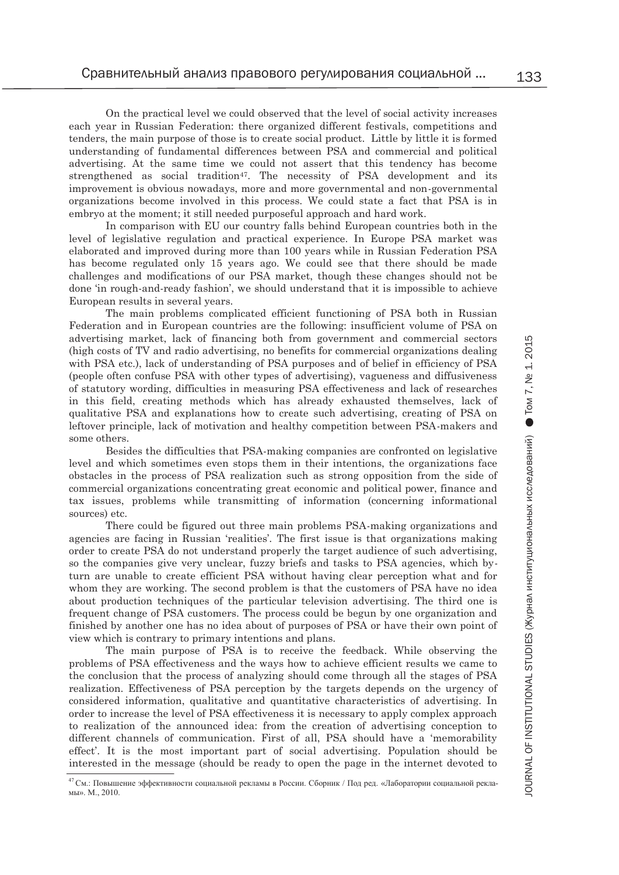On the practical level we could observed that the level of social activity increases each year in Russian Federation: there organized different festivals, competitions and tenders, the main purpose of those is to create social product. Little by little it is formed understanding of fundamental differences between PSA and commercial and political advertising. At the same time we could not assert that this tendency has become strengthened as social tradition<sup>47</sup>. The necessity of PSA development and its improvement is obvious nowadays, more and more governmental and non-governmental organizations become involved in this process. We could state a fact that PSA is in embryo at the moment; it still needed purposeful approach and hard work.

In comparison with EU our country falls behind European countries both in the level of legislative regulation and practical experience. In Europe PSA market was elaborated and improved during more than 100 years while in Russian Federation PSA has become regulated only 15 years ago. We could see that there should be made challenges and modifications of our PSA market, though these changes should not be done 'in rough-and-ready fashion', we should understand that it is impossible to achieve European results in several years.

The main problems complicated efficient functioning of PSA both in Russian Federation and in European countries are the following: insufficient volume of PSA on advertising market, lack of financing both from government and commercial sectors (high costs of TV and radio advertising, no benefits for commercial organizations dealing with PSA etc.), lack of understanding of PSA purposes and of belief in efficiency of PSA (people often confuse PSA with other types of advertising), vagueness and diffusiveness of statutory wording, difficulties in measuring PSA effectiveness and lack of researches in this field, creating methods which has already exhausted themselves, lack of qualitative PSA and explanations how to create such advertising, creating of PSA on leftover principle, lack of motivation and healthy competition between PSA-makers and some others.

Besides the difficulties that PSA-making companies are confronted on legislative level and which sometimes even stops them in their intentions, the organizations face obstacles in the process of PSA realization such as strong opposition from the side of commercial organizations concentrating great economic and political power, finance and tax issues, problems while transmitting of information (concerning informational sources) etc.

There could be figured out three main problems PSA-making organizations and agencies are facing in Russian 'realities'. The first issue is that organizations making order to create PSA do not understand properly the target audience of such advertising, so the companies give very unclear, fuzzy briefs and tasks to PSA agencies, which byturn are unable to create efficient PSA without having clear perception what and for whom they are working. The second problem is that the customers of PSA have no idea about production techniques of the particular television advertising. The third one is frequent change of PSA customers. The process could be begun by one organization and finished by another one has no idea about of purposes of PSA or have their own point of view which is contrary to primary intentions and plans.

The main purpose of PSA is to receive the feedback. While observing the problems of PSA effectiveness and the ways how to achieve efficient results we came to the conclusion that the process of analyzing should come through all the stages of PSA realization. Effectiveness of PSA perception by the targets depends on the urgency of considered information, qualitative and quantitative characteristics of advertising. In order to increase the level of PSA effectiveness it is necessary to apply complex approach to realization of the announced idea: from the creation of advertising conception to different channels of communication. First of all, PSA should have a 'memorability effect'. It is the most important part of social advertising. Population should be interested in the message (should be ready to open the page in the internet devoted to

<sup>47</sup>См.: Повышение эффективности социальной рекламы в России. Сборник / Под ред. «Лаборатории социальной рекламы». М., 2010.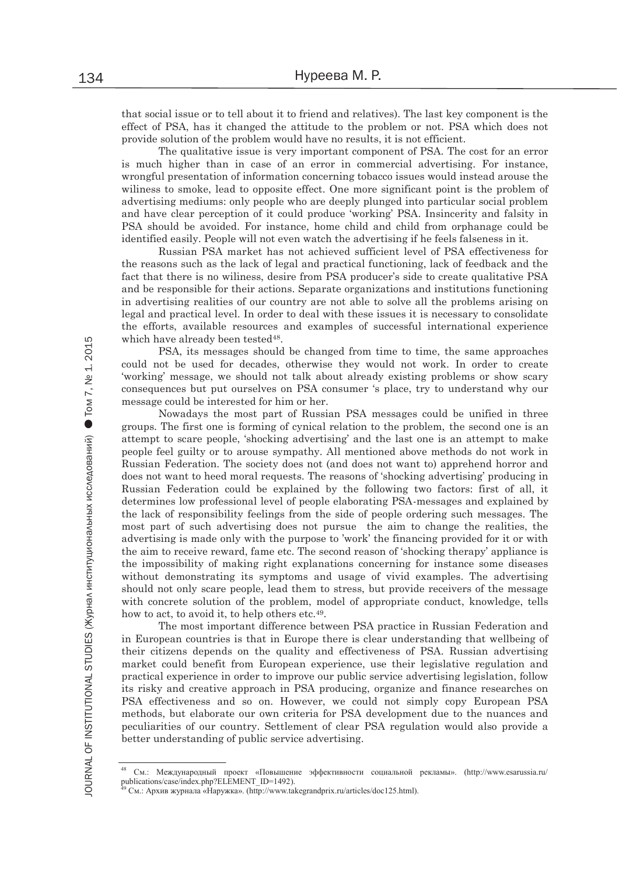that social issue or to tell about it to friend and relatives). The last key component is the effect of PSA, has it changed the attitude to the problem or not. PSA which does not provide solution of the problem would have no results, it is not efficient.

The qualitative issue is very important component of PSA. The cost for an error is much higher than in case of an error in commercial advertising. For instance, wrongful presentation of information concerning tobacco issues would instead arouse the wiliness to smoke, lead to opposite effect. One more significant point is the problem of advertising mediums: only people who are deeply plunged into particular social problem and have clear perception of it could produce 'working' PSA. [Insincerity a](http://lingvo.yandex.ru/insincerity/%D1%81%20%D0%B0%D0%BD%D0%B3%D0%BB%D0%B8%D0%B9%D1%81%D0%BA%D0%BE%D0%B3%D0%BE/LingvoUniversal/)nd falsity in PSA should be avoided. For instance, home child and child from orphanage could be identified easily. People will not even watch the advertising if he feels falseness in it.

Russian PSA market has not achieved sufficient level of PSA effectiveness for the reasons such as the lack of legal and practical functioning, lack of feedback and the fact that there is no wiliness, desire from PSA producer's side to create qualitative PSA and be responsible for their actions. Separate organizations and institutions functioning in advertising realities of our country are not able to solve all the problems arising on legal and practical level. In order to deal with these issues it is necessary to consolidate the efforts, available resources and examples of successful international experience which have already been tested<sup>48</sup>.

PSA, its messages should be changed from time to time, the same approaches could not be used for decades, otherwise they would not work. In order to create 'working' message, we should not talk about already existing problems or show scary consequences but put ourselves on PSA consumer 's place, try to understand why our message could be interested for him or her.

Nowadays the most part of Russian PSA messages could be unified in three groups. The first one is forming of cynical relation to the problem, the second one is an attempt to scare people, 'shocking advertising' and the last one is an attempt to make people feel guilty or to arouse sympathy. All mentioned above methods do not work in Russian Federation. The society does not (and does not want to) apprehend horror and does not want to heed moral requests. The reasons of 'shocking advertising' producing in Russian Federation could be explained by the following two factors: first of all, it determines low professional level of people elaborating PSA-messages and explained by the lack of responsibility feelings from the side of people ordering such messages. The most part of such advertising does not pursue the aim to change the realities, the advertising is made only with the purpose to 'work' the financing provided for it or with the aim to receive reward, fame etc. The second reason of 'shocking therapy' appliance is the impossibility of making right explanations concerning for instance some diseases without demonstrating its symptoms and usage of vivid examples. The advertising should not only scare people, lead them to stress, but provide receivers of the message with concrete solution of the problem, model of appropriate conduct, knowledge, tells how to act, to avoid it, to help others etc.<sup>49</sup>.

The most important difference between PSA practice in Russian Federation and in European countries is that in Europe there is clear understanding that wellbeing of their citizens depends on the quality and effectiveness of PSA. Russian advertising market could benefit from European experience, use their legislative regulation and practical experience in order to improve our public service advertising legislation, follow its risky and creative approach in PSA producing, organize and finance researches on PSA effectiveness and so on. However, we could not simply copy European PSA methods, but elaborate our own criteria for PSA development due to the nuances and peculiarities of our country. Settlement of clear PSA regulation would also provide a better understanding of public service advertising.

<sup>48</sup> См.: Международный проект «Повышение эффективности социальной рекламы». (http://www.esarussia.ru/ publications/case/index.php?ELEMENT\_ID=1492).

<sup>&</sup>lt;sup>49</sup> См.: Архив журнала «Наружка». (http://www.takegrandprix.ru/articles/doc125.html).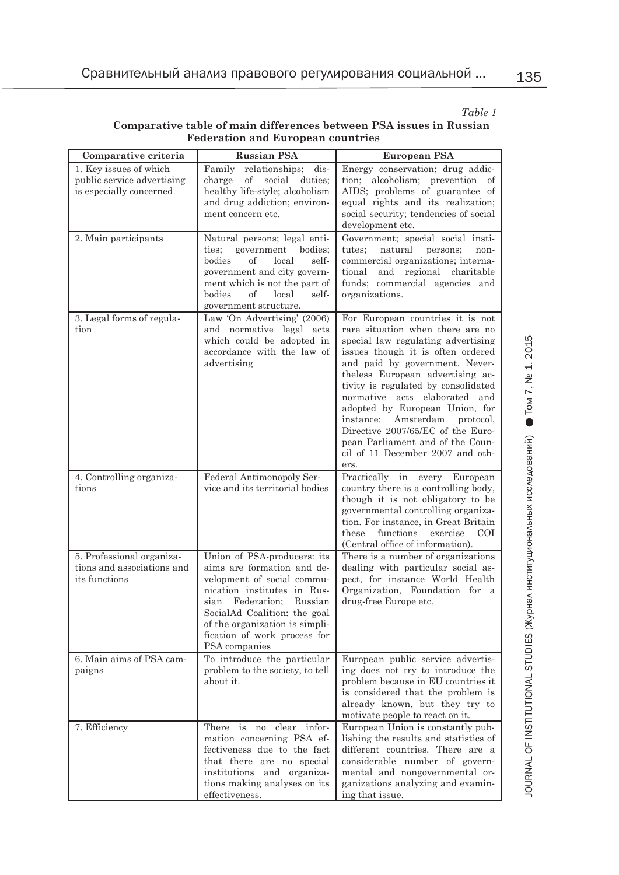### *Table 1*

| Comparative criteria                                                            | <b>Russian PSA</b>                                                                                                                                                                                                                                                       | <b>European PSA</b>                                                                                                                                                                                                                                                                                                                                                                                                                                                                         |
|---------------------------------------------------------------------------------|--------------------------------------------------------------------------------------------------------------------------------------------------------------------------------------------------------------------------------------------------------------------------|---------------------------------------------------------------------------------------------------------------------------------------------------------------------------------------------------------------------------------------------------------------------------------------------------------------------------------------------------------------------------------------------------------------------------------------------------------------------------------------------|
| 1. Key issues of which<br>public service advertising<br>is especially concerned | relationships;<br>Family<br>dis-<br>$% \left( \mathcal{M}\right)$ of<br>charge<br>social<br>duties;<br>healthy life-style; alcoholism<br>and drug addiction; environ-<br>ment concern etc.                                                                               | Energy conservation; drug addic-<br>tion; alcoholism; prevention<br>οf<br>AIDS; problems of guarantee of<br>equal rights and its realization;<br>social security; tendencies of social<br>development etc.                                                                                                                                                                                                                                                                                  |
| 2. Main participants                                                            | Natural persons; legal enti-<br>ties:<br>government<br>bodies:<br>of<br>bodies<br>self-<br>local<br>government and city govern-<br>ment which is not the part of<br>of<br>self-<br>bodies<br>local<br>government structure.                                              | Government; special social insti-<br>natural<br>tutes:<br>persons;<br>non-<br>commercial organizations; interna-<br>and regional charitable<br>tional<br>funds; commercial agencies and<br>organizations.                                                                                                                                                                                                                                                                                   |
| 3. Legal forms of regula-<br>tion                                               | Law 'On Advertising' (2006)<br>and normative legal acts<br>which could be adopted in<br>accordance with the law of<br>advertising                                                                                                                                        | For European countries it is not<br>rare situation when there are no<br>special law regulating advertising<br>issues though it is often ordered<br>and paid by government. Never-<br>theless European advertising ac-<br>tivity is regulated by consolidated<br>normative acts elaborated and<br>adopted by European Union, for<br>Amsterdam<br>instance:<br>protocol,<br>Directive 2007/65/EC of the Euro-<br>pean Parliament and of the Coun-<br>cil of 11 December 2007 and oth-<br>ers. |
| 4. Controlling organiza-<br>tions                                               | Federal Antimonopoly Ser-<br>vice and its territorial bodies                                                                                                                                                                                                             | Practically in every European<br>country there is a controlling body,<br>though it is not obligatory to be<br>governmental controlling organiza-<br>tion. For instance, in Great Britain<br>functions<br><b>COI</b><br>these<br>exercise<br>(Central office of information).                                                                                                                                                                                                                |
| 5. Professional organiza-<br>tions and associations and<br>its functions        | Union of PSA-producers: its<br>aims are formation and de-<br>velopment of social commu-<br>nication institutes in Rus-<br>sian Federation;<br>Russian<br>SocialAd Coalition: the goal<br>of the organization is simpli-<br>fication of work process for<br>PSA companies | There is a number of organizations<br>dealing with particular social as-<br>pect, for instance World Health<br>Organization, Foundation for<br>a<br>drug-free Europe etc.                                                                                                                                                                                                                                                                                                                   |
| 6. Main aims of PSA cam-<br>paigns                                              | To introduce the particular<br>problem to the society, to tell<br>about it.                                                                                                                                                                                              | European public service advertis-<br>ing does not try to introduce the<br>problem because in EU countries it<br>is considered that the problem is<br>already known, but they try to<br>motivate people to react on it.                                                                                                                                                                                                                                                                      |
| 7. Efficiency                                                                   | clear infor-<br>There<br>is no<br>mation concerning PSA ef-<br>fectiveness due to the fact<br>that there are no special<br>institutions and organiza-<br>tions making analyses on its<br>effectiveness.                                                                  | European Union is constantly pub-<br>lishing the results and statistics of<br>different countries. There are a<br>considerable number of govern-<br>mental and nongovernmental or-<br>ganizations analyzing and examin-<br>ing that issue.                                                                                                                                                                                                                                                  |

## **Comparative table of main differences between PSA issues in Russian Federation and European countries**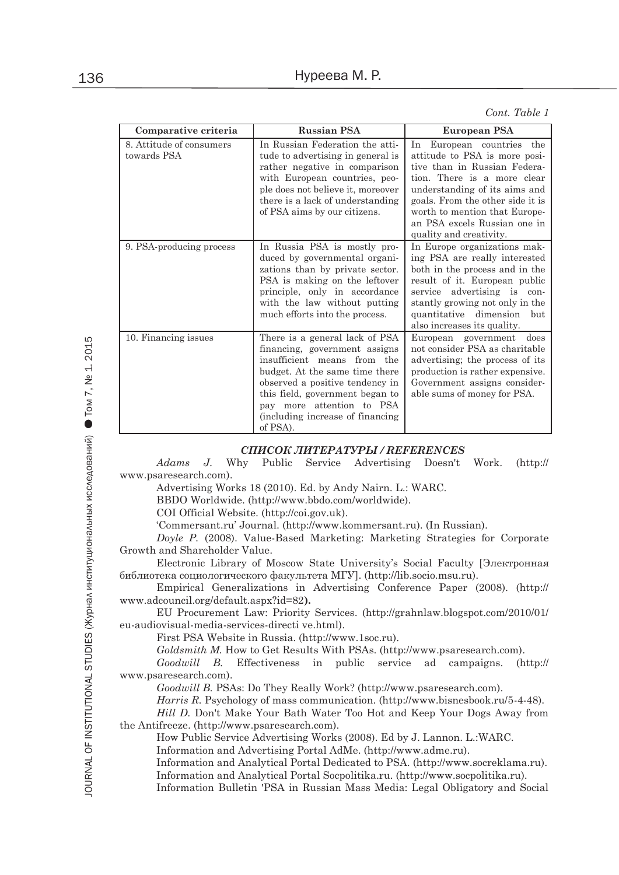|  | Cont. Table 1 |  |
|--|---------------|--|
|--|---------------|--|

| Comparative criteria                    | <b>Russian PSA</b>                                                                                                                                                                                                                                                                      | <b>European PSA</b>                                                                                                                                                                                                                                                                                 |
|-----------------------------------------|-----------------------------------------------------------------------------------------------------------------------------------------------------------------------------------------------------------------------------------------------------------------------------------------|-----------------------------------------------------------------------------------------------------------------------------------------------------------------------------------------------------------------------------------------------------------------------------------------------------|
| 8. Attitude of consumers<br>towards PSA | In Russian Federation the atti-<br>tude to advertising in general is<br>rather negative in comparison<br>with European countries, peo-<br>ple does not believe it, moreover<br>there is a lack of understanding<br>of PSA aims by our citizens.                                         | European countries<br>the<br>$\ln$<br>attitude to PSA is more posi-<br>tive than in Russian Federa-<br>tion. There is a more clear<br>understanding of its aims and<br>goals. From the other side it is<br>worth to mention that Europe-<br>an PSA excels Russian one in<br>quality and creativity. |
| 9. PSA-producing process                | In Russia PSA is mostly pro-<br>duced by governmental organi-<br>zations than by private sector.<br>PSA is making on the leftover<br>principle, only in accordance<br>with the law without putting<br>much efforts into the process.                                                    | In Europe organizations mak-<br>ing PSA are really interested<br>both in the process and in the<br>result of it. European public<br>service advertising is con-<br>stantly growing not only in the<br>dimension<br>quantitative<br>but<br>also increases its quality.                               |
| 10. Financing issues                    | There is a general lack of PSA<br>financing, government assigns<br>insufficient means from the<br>budget. At the same time there<br>observed a positive tendency in<br>this field, government began to<br>more attention to PSA<br>pay<br>(including increase of financing)<br>of PSA). | European government does<br>not consider PSA as charitable<br>advertising; the process of its<br>production is rather expensive.<br>Government assigns consider-<br>able sums of money for PSA.                                                                                                     |

#### *СПИСОК ЛИТЕРАТУРЫ / REFERENCES*

*Adams J.* Why Public Service Advertising Doesn't Work. (http:// www.psaresearch.com).

Advertising Works 18 (2010). Ed. by Andy Nairn. L.: WARC.

BBDO Worldwide. ([http://www.bbdo.com/worldwide\).](http://www.bbdo.com/worldwide)

COI Official Website. ([http://coi.gov.uk\).](http://coi.gov.uk)./)

'Commersant.ru' Journal. [\(http://www.kommersant.ru\)](http://www.kommersant.ru/). (In Russian).

*Doyle P.* (2008). Value-Based Marketing: Marketing Strategies for Corporate Growth and Shareholder Value.

Electronic Library of Moscow State University's Social Faculty [Электронная библиотека социологического факультета МГУ]. (http://lib.socio.msu.ru).

Empirical Generalizations in Advertising Conference Paper (2008). ([http://](http://www.adcouncil.org/default.aspx?id=82) [www.adcouncil.org/default.aspx?id=82](http://www.adcouncil.org/default.aspx?id=82)**).**

EU Procurement Law: Priority Services. ([http://grahnlaw.blogspot.com/2010/01/](http://grahnlaw.blogspot.com/2010/01/eu-audiovisual-media-services-directi%20ve.html) [eu-audiovisual-media-services-directi ve.html\)](http://grahnlaw.blogspot.com/2010/01/eu-audiovisual-media-services-directi%20ve.html).

First PSA Website in Russia. (http://www.1soc.ru).

*Goldsmith M.* How to Get Results With PSAs. (http://www.psaresearch.com).

*Goodwill B.* Effectiveness in public service ad campaigns. (http:// www.psaresearch.com).

*Goodwill B.* PSAs: Do They Really Work? (http://www.psaresearch.com).

*Harris R.* Psychology of mass communication. (http://www.bisnesbook.ru/5-4-48).

*Hill D.* Don't Make Your Bath Water Too Hot and Keep Your Dogs Away from the Antifreeze. ([http://www.psaresearch.com\).](http://www.psaresearch.com)./)

How Public Service Advertising Works (2008). Ed by J. Lannon. L.:WARC.

Information and Advertising Portal AdMe. ([http://www.adme.ru\).](http://www.adme.ru)

Information and Analytical Portal Dedicated to PSA. ([http://www.socreklama.ru\).](http://www.socreklama.ru)./)

Information and Analytical Portal Socpolitika.ru. [\(http://www.socpolitika.ru\).](http://www.socpolitika.ru)./)